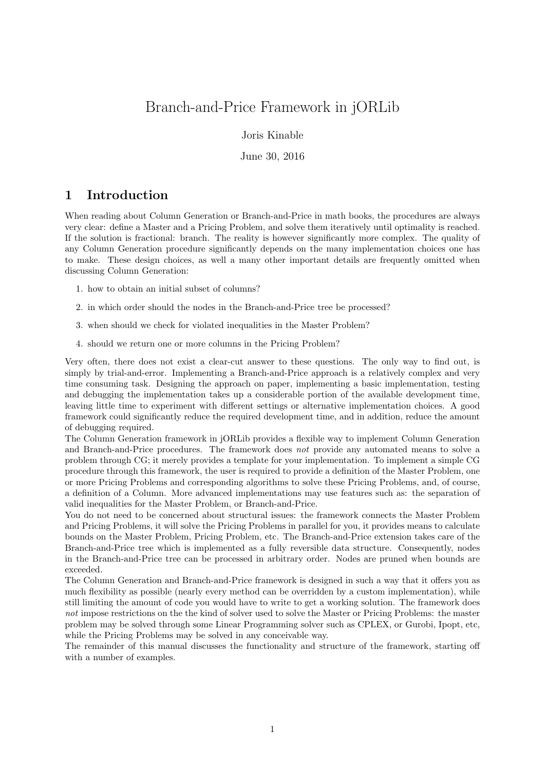# Branch-and-Price Framework in jORLib

Joris Kinable

June 30, 2016

## 1 Introduction

When reading about Column Generation or Branch-and-Price in math books, the procedures are always very clear: define a Master and a Pricing Problem, and solve them iteratively until optimality is reached. If the solution is fractional: branch. The reality is however significantly more complex. The quality of any Column Generation procedure significantly depends on the many implementation choices one has to make. These design choices, as well a many other important details are frequently omitted when discussing Column Generation:

- 1. how to obtain an initial subset of columns?
- 2. in which order should the nodes in the Branch-and-Price tree be processed?
- 3. when should we check for violated inequalities in the Master Problem?
- 4. should we return one or more columns in the Pricing Problem?

Very often, there does not exist a clear-cut answer to these questions. The only way to find out, is simply by trial-and-error. Implementing a Branch-and-Price approach is a relatively complex and very time consuming task. Designing the approach on paper, implementing a basic implementation, testing and debugging the implementation takes up a considerable portion of the available development time, leaving little time to experiment with different settings or alternative implementation choices. A good framework could significantly reduce the required development time, and in addition, reduce the amount of debugging required.

The Column Generation framework in jORLib provides a flexible way to implement Column Generation and Branch-and-Price procedures. The framework does not provide any automated means to solve a problem through CG; it merely provides a template for your implementation. To implement a simple CG procedure through this framework, the user is required to provide a definition of the Master Problem, one or more Pricing Problems and corresponding algorithms to solve these Pricing Problems, and, of course, a definition of a Column. More advanced implementations may use features such as: the separation of valid inequalities for the Master Problem, or Branch-and-Price.

You do not need to be concerned about structural issues: the framework connects the Master Problem and Pricing Problems, it will solve the Pricing Problems in parallel for you, it provides means to calculate bounds on the Master Problem, Pricing Problem, etc. The Branch-and-Price extension takes care of the Branch-and-Price tree which is implemented as a fully reversible data structure. Consequently, nodes in the Branch-and-Price tree can be processed in arbitrary order. Nodes are pruned when bounds are exceeded.

The Column Generation and Branch-and-Price framework is designed in such a way that it offers you as much flexibility as possible (nearly every method can be overridden by a custom implementation), while still limiting the amount of code you would have to write to get a working solution. The framework does not impose restrictions on the the kind of solver used to solve the Master or Pricing Problems: the master problem may be solved through some Linear Programming solver such as CPLEX, or Gurobi, Ipopt, etc, while the Pricing Problems may be solved in any conceivable way.

The remainder of this manual discusses the functionality and structure of the framework, starting off with a number of examples.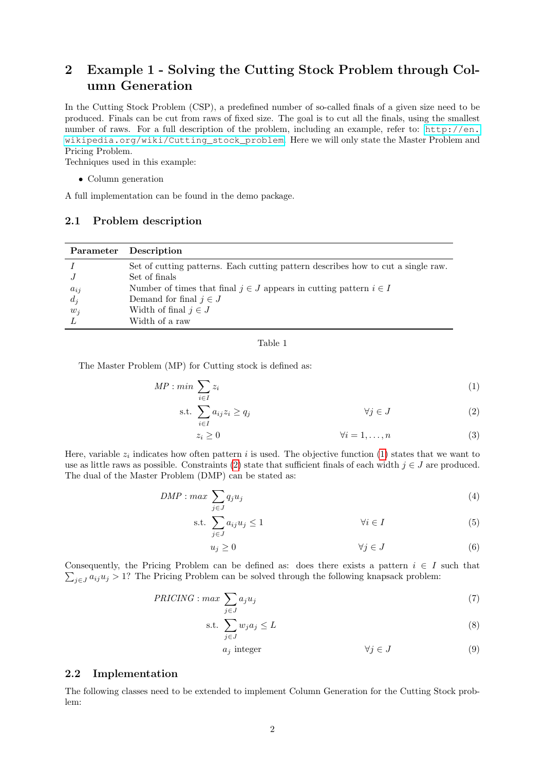# <span id="page-1-2"></span>2 Example 1 - Solving the Cutting Stock Problem through Column Generation

In the Cutting Stock Problem (CSP), a predefined number of so-called finals of a given size need to be produced. Finals can be cut from raws of fixed size. The goal is to cut all the finals, using the smallest number of raws. For a full description of the problem, including an example, refer to: [http://en.](http://en.wikipedia.org/wiki/Cutting_stock_problem) [wikipedia.org/wiki/Cutting\\_stock\\_problem](http://en.wikipedia.org/wiki/Cutting_stock_problem). Here we will only state the Master Problem and Pricing Problem.

Techniques used in this example:

• Column generation

A full implementation can be found in the demo package.

#### 2.1 Problem description

|          | Parameter Description                                                            |
|----------|----------------------------------------------------------------------------------|
|          | Set of cutting patterns. Each cutting pattern describes how to cut a single raw. |
|          | Set of finals                                                                    |
| $a_{ij}$ | Number of times that final $j \in J$ appears in cutting pattern $i \in I$        |
| $d_i$    | Demand for final $j \in J$                                                       |
| $w_i$    | Width of final $j \in J$                                                         |
|          | Width of a raw                                                                   |

<span id="page-1-1"></span><span id="page-1-0"></span>Table 1

The Master Problem (MP) for Cutting stock is defined as:

$$
MP: min \sum_{i \in I} z_i \tag{1}
$$

$$
\text{s.t. } \sum_{i \in I} a_{ij} z_i \ge q_j \qquad \qquad \forall j \in J \tag{2}
$$

$$
z_i \ge 0 \qquad \qquad \forall i = 1, \dots, n \tag{3}
$$

Here, variable  $z_i$  indicates how often pattern i is used. The objective function [\(1\)](#page-1-0) states that we want to use as little raws as possible. Constraints [\(2\)](#page-1-1) state that sufficient finals of each width  $j \in J$  are produced. The dual of the Master Problem (DMP) can be stated as:

$$
DMP : max \sum_{j \in J} q_j u_j \tag{4}
$$

$$
\text{s.t. } \sum_{j \in J} a_{ij} u_j \le 1 \qquad \qquad \forall i \in I \tag{5}
$$

$$
u_j \ge 0 \qquad \qquad \forall j \in J \tag{6}
$$

 $\sum_{j\in J} a_{ij}u_j > 1$ ? The Pricing Problem can be solved through the following knapsack problem: Consequently, the Pricing Problem can be defined as: does there exists a pattern  $i \in I$  such that

$$
PRICING: max \sum_{j \in J} a_j u_j \tag{7}
$$

$$
\text{s.t. } \sum_{j \in J} w_j a_j \le L \tag{8}
$$

$$
a_j \text{ integer} \qquad \qquad \forall j \in J \tag{9}
$$

#### <span id="page-1-3"></span>2.2 Implementation

The following classes need to be extended to implement Column Generation for the Cutting Stock problem: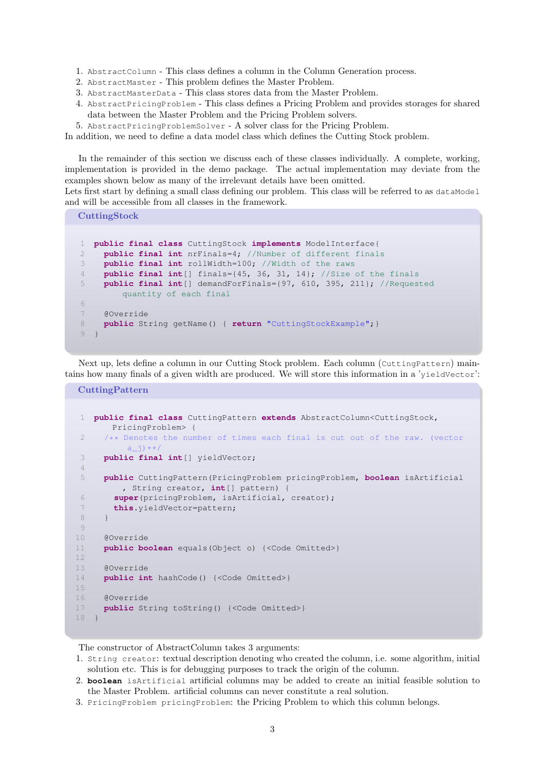- 1. AbstractColumn This class defines a column in the Column Generation process.
- 2. AbstractMaster This problem defines the Master Problem.
- 3. AbstractMasterData This class stores data from the Master Problem.
- 4. AbstractPricingProblem This class defines a Pricing Problem and provides storages for shared data between the Master Problem and the Pricing Problem solvers.
- 5. AbstractPricingProblemSolver A solver class for the Pricing Problem.

In addition, we need to define a data model class which defines the Cutting Stock problem.

In the remainder of this section we discuss each of these classes individually. A complete, working, implementation is provided in the demo package. The actual implementation may deviate from the examples shown below as many of the irrelevant details have been omitted.

Lets first start by defining a small class defining our problem. This class will be referred to as dataModel and will be accessible from all classes in the framework.

**CuttingStock** 

```
1 public final class CuttingStock implements ModelInterface{
2 public final int nrFinals=4; //Number of different finals
3 public final int rollWidth=100; //Width of the raws
4 public final int[] finals={45, 36, 31, 14}; //Size of the finals
5 public final int[] demandForFinals={97, 610, 395, 211}; //Requested
        quantity of each final
6
7 @Override
8 public String getName() { return "CuttingStockExample";}
9 }
```
Next up, lets define a column in our Cutting Stock problem. Each column (CuttingPattern) maintains how many finals of a given width are produced. We will store this information in a 'yieldVector':

**CuttingPattern** 

```
1 public final class CuttingPattern extends AbstractColumn<CuttingStock,
       PricingProblem> {
2 /** Denotes the number of times each final is cut out of the raw. (vector
          a_j) **/
3 public final int[] yieldVector;
4
5 public CuttingPattern(PricingProblem pricingProblem, boolean isArtificial
        , String creator, int[] pattern) {
6 super(pricingProblem, isArtificial, creator);
7 this.yieldVector=pattern;
8 }
9
10 @Override
11 public boolean equals(Object o) {<Code Omitted>}
12
13 @Override
14 public int hashCode() {<Code Omitted>}
15
16 @Override
17 public String toString() {<Code Omitted>}
18 }
```
The constructor of AbstractColumn takes 3 arguments:

- 1. String creator: textual description denoting who created the column, i.e. some algorithm, initial solution etc. This is for debugging purposes to track the origin of the column.
- 2. **boolean** isArtificial artificial columns may be added to create an initial feasible solution to the Master Problem. artificial columns can never constitute a real solution.
- 3. PricingProblem pricingProblem: the Pricing Problem to which this column belongs.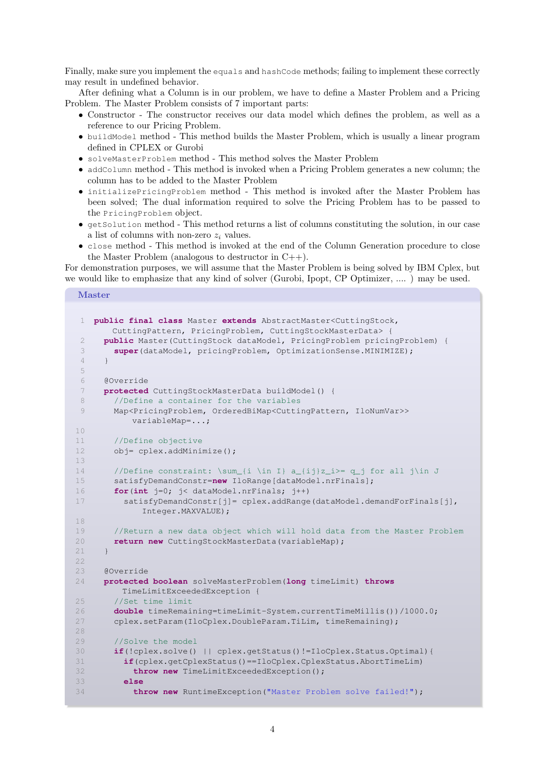Finally, make sure you implement the equals and hashCode methods; failing to implement these correctly may result in undefined behavior.

After defining what a Column is in our problem, we have to define a Master Problem and a Pricing Problem. The Master Problem consists of 7 important parts:

- Constructor The constructor receives our data model which defines the problem, as well as a reference to our Pricing Problem.
- buildModel method This method builds the Master Problem, which is usually a linear program defined in CPLEX or Gurobi
- solveMasterProblem method This method solves the Master Problem
- addColumn method This method is invoked when a Pricing Problem generates a new column; the column has to be added to the Master Problem
- initializePricingProblem method This method is invoked after the Master Problem has been solved; The dual information required to solve the Pricing Problem has to be passed to the PricingProblem object.
- getSolution method This method returns a list of columns constituting the solution, in our case a list of columns with non-zero  $z_i$  values.
- close method This method is invoked at the end of the Column Generation procedure to close the Master Problem (analogous to destructor in C++).

For demonstration purposes, we will assume that the Master Problem is being solved by IBM Cplex, but we would like to emphasize that any kind of solver (Gurobi, Ipopt, CP Optimizer, .... ) may be used.

#### Master

```
1 public final class Master extends AbstractMaster<CuttingStock,
       CuttingPattern, PricingProblem, CuttingStockMasterData> {
 2 public Master(CuttingStock dataModel, PricingProblem pricingProblem) {
 3 super(dataModel, pricingProblem, OptimizationSense.MINIMIZE);
 4 }
 5
 6 @Override
 7 protected CuttingStockMasterData buildModel() {
 8 //Define a container for the variables
 9 Map<PricingProblem, OrderedBiMap<CuttingPattern, IloNumVar>>
          variableMap=...;
10
11 //Define objective
12 obj= cplex.addMinimize();
13
14 //Define constraint: \sum_{i \in I} a_{i}z_i>= q_j for all j\in J15 satisfyDemandConstr=new IloRange[dataModel.nrFinals];
16 for(int j=0; j< dataModel.nrFinals; j++)
17 satisfyDemandConstr[j]= cplex.addRange(dataModel.demandForFinals[j],
            Integer.MAXVALUE);
18
19 //Return a new data object which will hold data from the Master Problem
20 return new CuttingStockMasterData(variableMap);
21 }
22
23 @Override
24 protected boolean solveMasterProblem(long timeLimit) throws
         TimeLimitExceededException {
25 //Set time limit
26 double timeRemaining=timeLimit-System.currentTimeMillis())/1000.0;
27 cplex.setParam(IloCplex.DoubleParam.TiLim, timeRemaining);
28
29 //Solve the model
30 if(!cplex.solve() || cplex.getStatus()!=IloCplex.Status.Optimal){
31 if(cplex.getCplexStatus()==IloCplex.CplexStatus.AbortTimeLim)
32 throw new TimeLimitExceededException();
33 else
34 throw new RuntimeException("Master Problem solve failed!");
```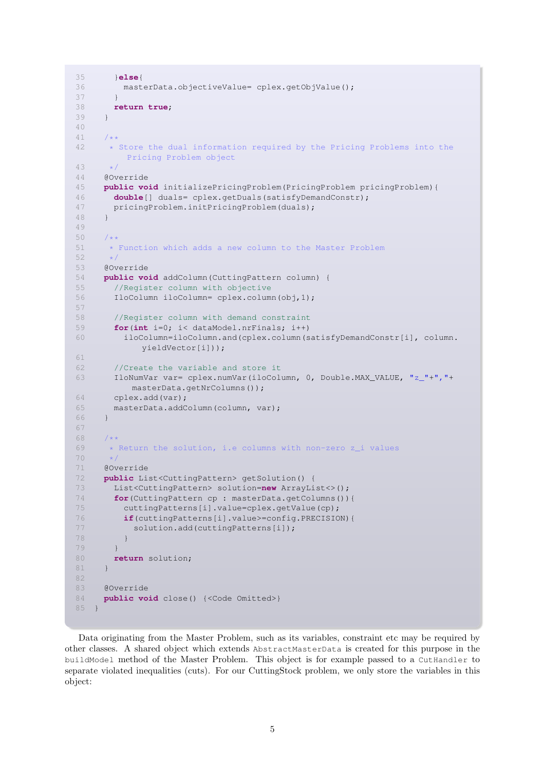```
35 }else{
36 masterData.objectiveValue= cplex.getObjValue();
37 }
38 return true;
39 }
40
41 /**
      42 * Store the dual information required by the Pricing Problems into the
         Pricing Problem object
43 */<br>44 \times/
     @Override
45 public void initializePricingProblem(PricingProblem pricingProblem){
46 double[] duals= cplex.getDuals(satisfyDemandConstr);
47 pricingProblem.initPricingProblem(duals);
48 }
49
50 /**
51 \star Function which adds a new column to the Master Problem 52 \star/
      \frac{1}{2}53 @Override
54 public void addColumn(CuttingPattern column) {
55 //Register column with objective
56 IloColumn iloColumn= cplex.column(obj,1);
57
58 //Register column with demand constraint
59 for(int i=0; i< dataModel.nrFinals; i++)
60 iloColumn=iloColumn.and(cplex.column(satisfyDemandConstr[i], column.
             yieldVector[i]));
61
62 //Create the variable and store it
63 IloNumVar var= cplex.numVar(iloColumn, 0, Double.MAX_VALUE, "z_"+","+
          masterData.getNrColumns());
64 cplex.add(var);
65 masterData.addColumn(column, var);
66 }
67
68 /**
69 * Return the solution, i.e columns with non-zero z_i values
70 \times /<br>71 \times 60v671 @Override
72 public List<CuttingPattern> getSolution() {
73 List<CuttingPattern> solution=new ArrayList<>();
74 for(CuttingPattern cp : masterData.getColumns()){
75 cuttingPatterns[i].value=cplex.getValue(cp);
76 if(cuttingPatterns[i].value>=config.PRECISION){
77 solution.add(cuttingPatterns[i]);
78 }
79 }
80 return solution;
81 }
82
83 @Override
84 public void close() {<Code Omitted>}
85 }
```
Data originating from the Master Problem, such as its variables, constraint etc may be required by other classes. A shared object which extends AbstractMasterData is created for this purpose in the buildModel method of the Master Problem. This object is for example passed to a CutHandler to separate violated inequalities (cuts). For our CuttingStock problem, we only store the variables in this object: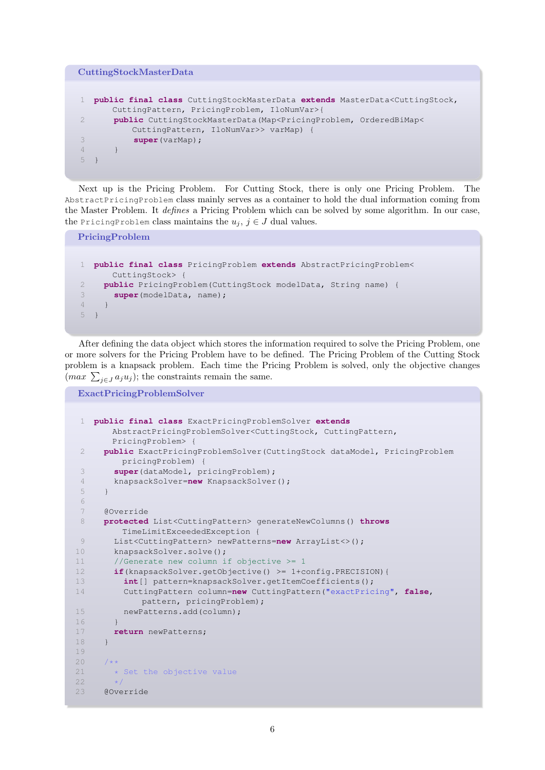```
CuttingStockMasterData
1 public final class CuttingStockMasterData extends MasterData<CuttingStock,
      CuttingPattern, PricingProblem, IloNumVar>{
2 public CuttingStockMasterData(Map<PricingProblem, OrderedBiMap<
          CuttingPattern, IloNumVar>> varMap) {
3 super(varMap);
\overline{4} }
5 }
```
Next up is the Pricing Problem. For Cutting Stock, there is only one Pricing Problem. The AbstractPricingProblem class mainly serves as a container to hold the dual information coming from the Master Problem. It defines a Pricing Problem which can be solved by some algorithm. In our case, the PricingProblem class maintains the  $u_j, j \in J$  dual values.

```
PricingProblem
1 public final class PricingProblem extends AbstractPricingProblem<
      CuttingStock> {
2 public PricingProblem(CuttingStock modelData, String name) {
3 super(modelData, name);
\overline{4}5 }
```
After defining the data object which stores the information required to solve the Pricing Problem, one or more solvers for the Pricing Problem have to be defined. The Pricing Problem of the Cutting Stock problem is a knapsack problem. Each time the Pricing Problem is solved, only the objective changes  $(max \sum_{j\in J} a_j u_j);$  the constraints remain the same.

ExactPricingProblemSolver

```
1 public final class ExactPricingProblemSolver extends
       AbstractPricingProblemSolver<CuttingStock, CuttingPattern,
       PricingProblem> {
 2 public ExactPricingProblemSolver(CuttingStock dataModel, PricingProblem
         pricingProblem) {
 3 super(dataModel, pricingProblem);
 4 knapsackSolver=new KnapsackSolver();
 5 }
 6
 7 @Override
 8 protected List<CuttingPattern> generateNewColumns() throws
        TimeLimitExceededException {
9 List<CuttingPattern> newPatterns=new ArrayList<>();
10 knapsackSolver.solve();
11 //Generate new column if objective >= 1
12 if(knapsackSolver.getObjective() >= 1+config.PRECISION){
13 int[] pattern=knapsackSolver.getItemCoefficients();
14 CuttingPattern column=new CuttingPattern("exactPricing", false,
            pattern, pricingProblem);
15 newPatterns.add(column);
16 }
17 return newPatterns;
18 }
19
20<sup>°</sup>21 * Set the objective value
22 - 1123 @Override
```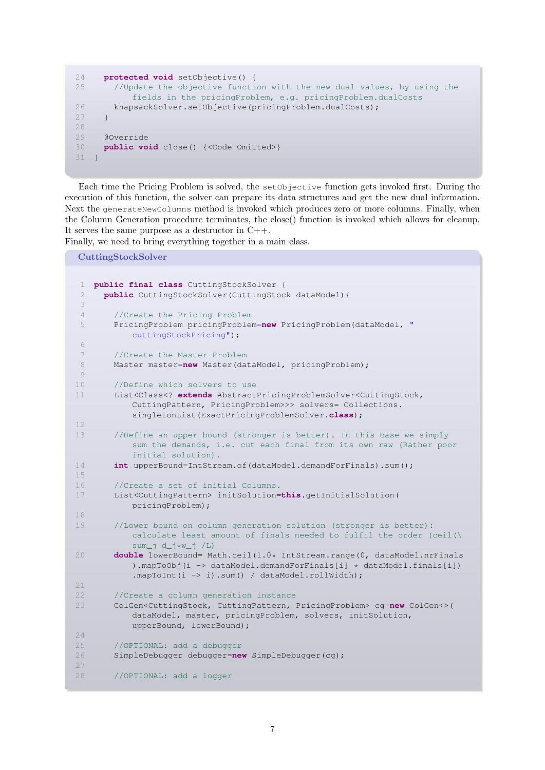```
24 protected void setObjective() {
25 //Update the objective function with the new dual values, by using the
           fields in the pricingProblem, e.g. pricingProblem.dualCosts
26 knapsackSolver.setObjective(pricingProblem.dualCosts);
27 }
28
29 @Override
30 public void close() {<Code Omitted>}
31 \quad \}
```
Each time the Pricing Problem is solved, the setObjective function gets invoked first. During the execution of this function, the solver can prepare its data structures and get the new dual information. Next the generateNewColumns method is invoked which produces zero or more columns. Finally, when the Column Generation procedure terminates, the close() function is invoked which allows for cleanup. It serves the same purpose as a destructor in  $C++$ .

Finally, we need to bring everything together in a main class.

CuttingStockSolver

```
1 public final class CuttingStockSolver {
 2 public CuttingStockSolver(CuttingStock dataModel){
 3
 4 //Create the Pricing Problem
 5 PricingProblem pricingProblem=new PricingProblem(dataModel, "
           cuttingStockPricing");
 6
 7 //Create the Master Problem
 8 Master master=new Master(dataModel, pricingProblem);
 \circ10 //Define which solvers to use
11 List<Class<? extends AbstractPricingProblemSolver<CuttingStock,
           CuttingPattern, PricingProblem>>> solvers= Collections.
           singletonList(ExactPricingProblemSolver.class);
12
13 //Define an upper bound (stronger is better). In this case we simply
           sum the demands, i.e. cut each final from its own raw (Rather poor
           initial solution).
14 int upperBound=IntStream.of(dataModel.demandForFinals).sum();
15
16 //Create a set of initial Columns.
17 List<CuttingPattern> initSolution=this.getInitialSolution(
           pricingProblem);
18
19 //Lower bound on column generation solution (stronger is better):
           calculate least amount of finals needed to fulfil the order (ceil(\
           sum_j d_j*w_j /L)
20 double lowerBound= Math.ceil(1.0* IntStream.range(0, dataModel.nrFinals
           ).mapToObj(i -> dataModel.demandForFinals[i] * dataModel.finals[i])
           .mapToInt(i -> i).sum() / dataModel.rollWidth);
21
22 //Create a column generation instance
23 ColGen<CuttingStock, CuttingPattern, PricingProblem> cg=new ColGen<>(
           dataModel, master, pricingProblem, solvers, initSolution,
           upperBound, lowerBound);
24
25 //OPTIONAL: add a debugger
26 SimpleDebugger debugger=new SimpleDebugger(cg);
27
28 //OPTIONAL: add a logger
```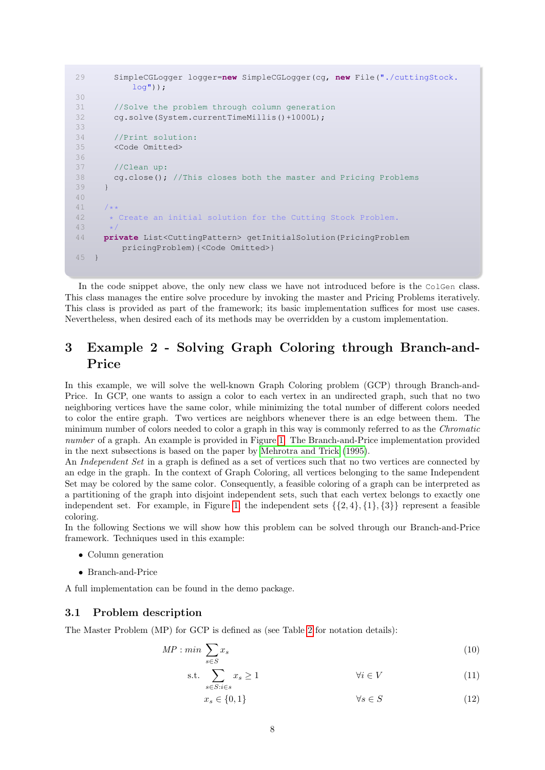```
29 SimpleCGLogger logger=new SimpleCGLogger(cg, new File("./cuttingStock.
          log"));
30
31 //Solve the problem through column generation
32 cg.solve(System.currentTimeMillis()+1000L);
33
34 //Print solution:
35 <Code Omitted>
36
37 //Clean up:
38 cg.close(); //This closes both the master and Pricing Problems
39 }
40
41
42 * Create an initial solution for the Cutting Stock Problem.
43
44 private List<CuttingPattern> getInitialSolution(PricingProblem
        pricingProblem){<Code Omitted>}
45 }
```
In the code snippet above, the only new class we have not introduced before is the ColGen class. This class manages the entire solve procedure by invoking the master and Pricing Problems iteratively. This class is provided as part of the framework; its basic implementation suffices for most use cases. Nevertheless, when desired each of its methods may be overridden by a custom implementation.

# <span id="page-7-1"></span>3 Example 2 - Solving Graph Coloring through Branch-and-Price

In this example, we will solve the well-known Graph Coloring problem (GCP) through Branch-and-Price. In GCP, one wants to assign a color to each vertex in an undirected graph, such that no two neighboring vertices have the same color, while minimizing the total number of different colors needed to color the entire graph. Two vertices are neighbors whenever there is an edge between them. The minimum number of colors needed to color a graph in this way is commonly referred to as the Chromatic number of a graph. An example is provided in Figure [1.](#page-8-0) The Branch-and-Price implementation provided in the next subsections is based on the paper by [Mehrotra and Trick](#page-35-0) [\(1995\)](#page-35-0).

An *Independent Set* in a graph is defined as a set of vertices such that no two vertices are connected by an edge in the graph. In the context of Graph Coloring, all vertices belonging to the same Independent Set may be colored by the same color. Consequently, a feasible coloring of a graph can be interpreted as a partitioning of the graph into disjoint independent sets, such that each vertex belongs to exactly one independent set. For example, in Figure [1,](#page-8-0) the independent sets  $\{\{2, 4\}, \{1\}, \{3\}\}\$  represent a feasible coloring.

In the following Sections we will show how this problem can be solved through our Branch-and-Price framework. Techniques used in this example:

- Column generation
- Branch-and-Price

A full implementation can be found in the demo package.

#### 3.1 Problem description

The Master Problem (MP) for GCP is defined as (see Table [2](#page-8-1) for notation details):

$$
MP: min \sum_{s \in S} x_s \tag{10}
$$

$$
\text{s.t.} \sum_{s \in S: i \in s} x_s \ge 1 \qquad \qquad \forall i \in V \tag{11}
$$

<span id="page-7-0"></span>
$$
x_s \in \{0, 1\} \qquad \qquad \forall s \in S \tag{12}
$$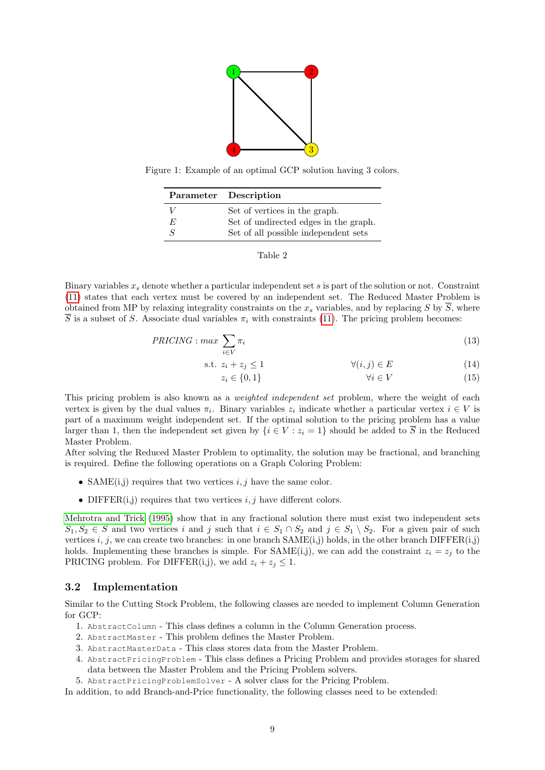

<span id="page-8-1"></span><span id="page-8-0"></span>Figure 1: Example of an optimal GCP solution having 3 colors.

|    | Parameter Description                 |  |  |
|----|---------------------------------------|--|--|
|    | Set of vertices in the graph.         |  |  |
| E. | Set of undirected edges in the graph. |  |  |
|    | Set of all possible independent sets  |  |  |



Binary variables  $x_s$  denote whether a particular independent set s is part of the solution or not. Constraint [\(11\)](#page-7-0) states that each vertex must be covered by an independent set. The Reduced Master Problem is obtained from MP by relaxing integrality constraints on the  $x_s$  variables, and by replacing S by  $\overline{S}$ , where  $\overline{S}$  is a subset of S. Associate dual variables  $\pi_i$  with constraints [\(11\)](#page-7-0). The pricing problem becomes:

$$
PRICING: max \sum_{i \in V} \pi_i
$$
\n
$$
(13)
$$

$$
\text{s.t. } z_i + z_j \le 1 \qquad \qquad \forall (i, j) \in E \tag{14}
$$

$$
z_i \in \{0, 1\} \qquad \qquad \forall i \in V \tag{15}
$$

This pricing problem is also known as a *weighted independent set* problem, where the weight of each vertex is given by the dual values  $\pi_i$ . Binary variables  $z_i$  indicate whether a particular vertex  $i \in V$  is part of a maximum weight independent set. If the optimal solution to the pricing problem has a value larger than 1, then the independent set given by  $\{i \in V : z_i = 1\}$  should be added to  $\overline{S}$  in the Reduced Master Problem.

After solving the Reduced Master Problem to optimality, the solution may be fractional, and branching is required. Define the following operations on a Graph Coloring Problem:

- SAME $(i, j)$  requires that two vertices  $i, j$  have the same color.
- DIFFER $(i, j)$  requires that two vertices  $i, j$  have different colors.

[Mehrotra and Trick](#page-35-0) [\(1995\)](#page-35-0) show that in any fractional solution there must exist two independent sets  $S_1, S_2 \in S$  and two vertices i and j such that  $i \in S_1 \cap S_2$  and  $j \in S_1 \setminus S_2$ . For a given pair of such vertices i, j, we can create two branches: in one branch  $SAME(i,j)$  holds, in the other branch  $DIFFER(i,j)$ holds. Implementing these branches is simple. For  $SAME(i,j)$ , we can add the constraint  $z_i = z_j$  to the PRICING problem. For DIFFER(i,j), we add  $z_i + z_j \leq 1$ .

### 3.2 Implementation

Similar to the Cutting Stock Problem, the following classes are needed to implement Column Generation for GCP:

- 1. AbstractColumn This class defines a column in the Column Generation process.
- 2. AbstractMaster This problem defines the Master Problem.
- 3. AbstractMasterData This class stores data from the Master Problem.
- 4. AbstractPricingProblem This class defines a Pricing Problem and provides storages for shared data between the Master Problem and the Pricing Problem solvers.
- 5. AbstractPricingProblemSolver A solver class for the Pricing Problem.

In addition, to add Branch-and-Price functionality, the following classes need to be extended: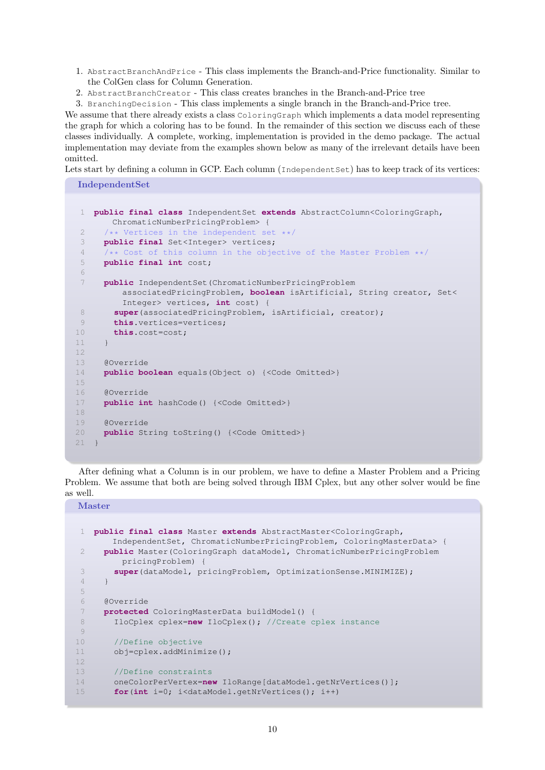- 1. AbstractBranchAndPrice This class implements the Branch-and-Price functionality. Similar to the ColGen class for Column Generation.
- 2. AbstractBranchCreator This class creates branches in the Branch-and-Price tree

3. BranchingDecision - This class implements a single branch in the Branch-and-Price tree.

We assume that there already exists a class ColoringGraph which implements a data model representing the graph for which a coloring has to be found. In the remainder of this section we discuss each of these classes individually. A complete, working, implementation is provided in the demo package. The actual implementation may deviate from the examples shown below as many of the irrelevant details have been omitted.

Lets start by defining a column in GCP. Each column (Independent Set) has to keep track of its vertices:

IndependentSet

```
1 public final class IndependentSet extends AbstractColumn<ColoringGraph,
       ChromaticNumberPricingProblem> {
 2 /** Vertices in the independent set **/
 3 public final Set<Integer> vertices;
 4 / ** Cost of this column in the objective of the Master Problem **/<br>5 nublic final int cost:
     5 public final int cost;
 6
 7 public IndependentSet(ChromaticNumberPricingProblem
         associatedPricingProblem, boolean isArtificial, String creator, Set<
         Integer> vertices, int cost) {
 8 super(associatedPricingProblem, isArtificial, creator);
9 this.vertices=vertices;
10 this.cost=cost;
11 }
12
13 @Override
14 public boolean equals(Object o) {<Code Omitted>}
15
16 @Override
17 public int hashCode() {<Code Omitted>}
18
19 @Override
20 public String toString() {<Code Omitted>}
21 }
```
After defining what a Column is in our problem, we have to define a Master Problem and a Pricing Problem. We assume that both are being solved through IBM Cplex, but any other solver would be fine as well.

Master

```
1 public final class Master extends AbstractMaster<ColoringGraph,
      IndependentSet, ChromaticNumberPricingProblem, ColoringMasterData> {
2 public Master(ColoringGraph dataModel, ChromaticNumberPricingProblem
        pricingProblem) {
3 super(dataModel, pricingProblem, OptimizationSense.MINIMIZE);
4 }
5
6 @Override
7 protected ColoringMasterData buildModel() {
8 IloCplex cplex=new IloCplex(); //Create cplex instance
9
10 //Define objective
11 obj=cplex.addMinimize();
12
13 //Define constraints
14 oneColorPerVertex=new IloRange[dataModel.getNrVertices()];
15 for(int i=0; i<dataModel.getNrVertices(); i++)
```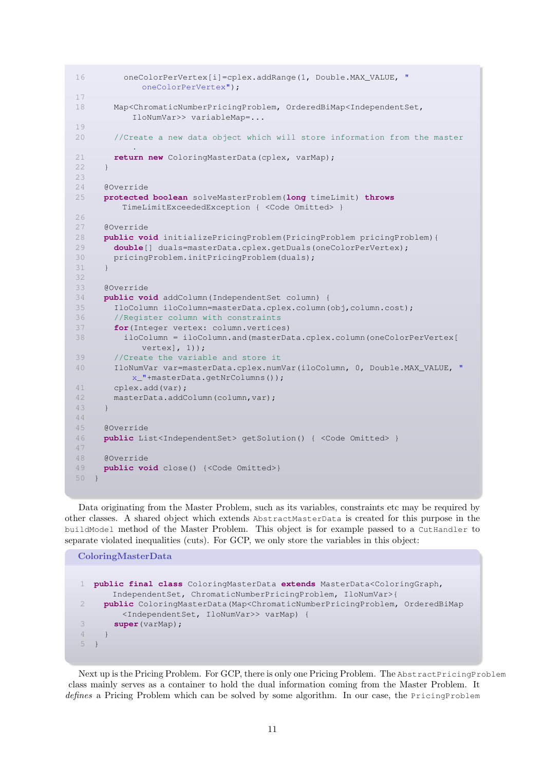```
16 oneColorPerVertex[i]=cplex.addRange(1, Double.MAX_VALUE, "
            oneColorPerVertex");
17
18 Map<ChromaticNumberPricingProblem, OrderedBiMap<IndependentSet,
           IloNumVar>> variableMap=...
19
20 //Create a new data object which will store information from the master
           .
21 return new ColoringMasterData(cplex, varMap);
22 }
23
24 @Override
25 protected boolean solveMasterProblem(long timeLimit) throws
        TimeLimitExceededException { <Code Omitted> }
26
27 @Override
28 public void initializePricingProblem(PricingProblem pricingProblem){
29 double[] duals=masterData.cplex.getDuals(oneColorPerVertex);
30 pricingProblem.initPricingProblem(duals);
31 \t 132
33 @Override
34 public void addColumn(IndependentSet column) {
35 IloColumn iloColumn=masterData.cplex.column(obj,column.cost);
36 //Register column with constraints
37 for(Integer vertex: column.vertices)
38 iloColumn = iloColumn.and(masterData.cplex.column(oneColorPerVertex[
            vertex], 1));
39 //Create the variable and store it
40 IloNumVar var=masterData.cplex.numVar(iloColumn, 0, Double.MAX_VALUE, "
          x_"+masterData.getNrColumns());
41 cplex.add(var);
42 masterData.addColumn(column,var);
43 }
44
45 @Override
46 public List<IndependentSet> getSolution() { <Code Omitted> }
47
48 @Override
49 public void close() {<Code Omitted>}
50 - 1
```
Data originating from the Master Problem, such as its variables, constraints etc may be required by other classes. A shared object which extends AbstractMasterData is created for this purpose in the buildModel method of the Master Problem. This object is for example passed to a CutHandler to separate violated inequalities (cuts). For GCP, we only store the variables in this object:

```
ColoringMasterData
1 public final class ColoringMasterData extends MasterData<ColoringGraph,
      IndependentSet, ChromaticNumberPricingProblem, IloNumVar>{
2 public ColoringMasterData(Map<ChromaticNumberPricingProblem, OrderedBiMap
        <IndependentSet, IloNumVar>> varMap) {
3 super(varMap);
4 }
5 }
```
Next up is the Pricing Problem. For GCP, there is only one Pricing Problem. The AbstractPricingProblem class mainly serves as a container to hold the dual information coming from the Master Problem. It defines a Pricing Problem which can be solved by some algorithm. In our case, the PricingProblem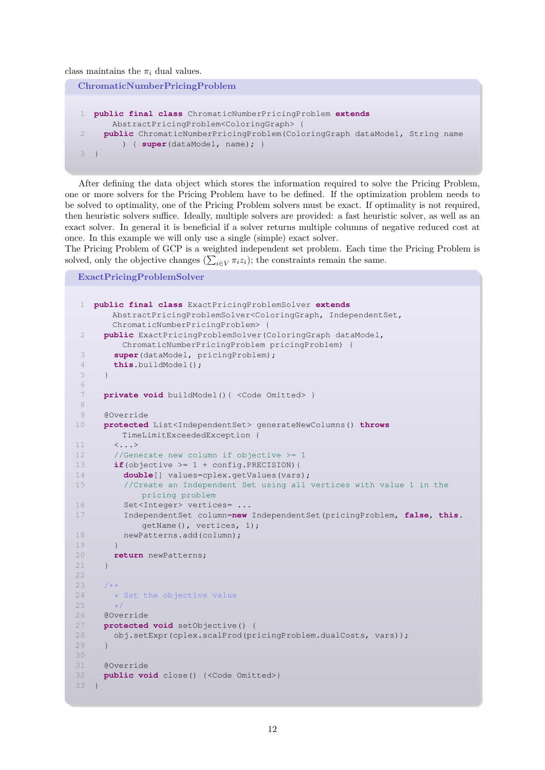class maintains the  $\pi_i$  dual values.

```
ChromaticNumberPricingProblem
1 public final class ChromaticNumberPricingProblem extends
      AbstractPricingProblem<ColoringGraph> {
     2 public ChromaticNumberPricingProblem(ColoringGraph dataModel, String name
         ) { super(dataModel, name); }
3 }
```
After defining the data object which stores the information required to solve the Pricing Problem, one or more solvers for the Pricing Problem have to be defined. If the optimization problem needs to be solved to optimality, one of the Pricing Problem solvers must be exact. If optimality is not required, then heuristic solvers suffice. Ideally, multiple solvers are provided: a fast heuristic solver, as well as an exact solver. In general it is beneficial if a solver returns multiple columns of negative reduced cost at once. In this example we will only use a single (simple) exact solver.

The Pricing Problem of GCP is a weighted independent set problem. Each time the Pricing Problem is solved, only the objective changes  $(\sum_{i\in V}\pi_iz_i)$ ; the constraints remain the same.

ExactPricingProblemSolver

```
1 public final class ExactPricingProblemSolver extends
       AbstractPricingProblemSolver<ColoringGraph, IndependentSet,
       ChromaticNumberPricingProblem> {
 2 public ExactPricingProblemSolver(ColoringGraph dataModel,
         ChromaticNumberPricingProblem pricingProblem) {
 3 super(dataModel, pricingProblem);
 4 this.buildModel();
 5 }
 6
 7 private void buildModel(){ <Code Omitted> }
 8
 9 @Override
10 protected List<IndependentSet> generateNewColumns() throws
        TimeLimitExceededException {
11 <...>
12 //Generate new column if objective >= 1
13 if(objective >= 1 + config.PRECISION){
14 double[] values=cplex.getValues(vars);
15 //Create an Independent Set using all vertices with value 1 in the
            pricing problem
16 Set<Integer> vertices= ...
17 IndependentSet column=new IndependentSet(pricingProblem, false, this.
            getName(), vertices, 1);
18 newPatterns.add(column);
19 }
20 return newPatterns;
21 }
22
23 /**
24 \rightarrow Set the objective value
25<br>26@Override
27 protected void setObjective() {
28 obj.setExpr(cplex.scalProd(pricingProblem.dualCosts, vars));
29 }
30
31 @Override
32 public void close() {<Code Omitted>}
33 }
```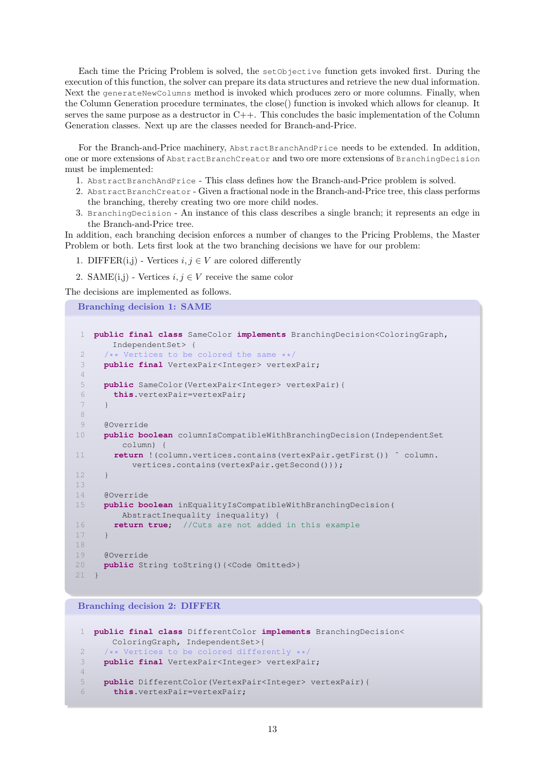Each time the Pricing Problem is solved, the setObjective function gets invoked first. During the execution of this function, the solver can prepare its data structures and retrieve the new dual information. Next the generateNewColumns method is invoked which produces zero or more columns. Finally, when the Column Generation procedure terminates, the close() function is invoked which allows for cleanup. It serves the same purpose as a destructor in C++. This concludes the basic implementation of the Column Generation classes. Next up are the classes needed for Branch-and-Price.

For the Branch-and-Price machinery, AbstractBranchAndPrice needs to be extended. In addition, one or more extensions of AbstractBranchCreator and two ore more extensions of BranchingDecision must be implemented:

- 1. AbstractBranchAndPrice This class defines how the Branch-and-Price problem is solved.
- 2. AbstractBranchCreator Given a fractional node in the Branch-and-Price tree, this class performs the branching, thereby creating two ore more child nodes.
- 3. BranchingDecision An instance of this class describes a single branch; it represents an edge in the Branch-and-Price tree.

In addition, each branching decision enforces a number of changes to the Pricing Problems, the Master Problem or both. Lets first look at the two branching decisions we have for our problem:

- 1. DIFFER(i,j) Vertices  $i, j \in V$  are colored differently
- 2. SAME $(i,j)$  Vertices  $i, j \in V$  receive the same color

The decisions are implemented as follows.

```
Branching decision 1: SAME
```

```
1 public final class SameColor implements BranchingDecision<ColoringGraph,
       IndependentSet> {
 2 /** Vertices to be colored the same **/<br>3 public final VertexPair<Integer> vertex
     3 public final VertexPair<Integer> vertexPair;
 4
 5 public SameColor(VertexPair<Integer> vertexPair){
 6 this.vertexPair=vertexPair;
 7 }
 8
 9 @Override
10 public boolean columnIsCompatibleWithBranchingDecision(IndependentSet
         column) {
11 return !(column.vertices.contains(vertexPair.getFirst()) ˆ column.
           vertices.contains(vertexPair.getSecond()));
12 }
13
14 @Override
15 public boolean inEqualityIsCompatibleWithBranchingDecision(
         AbstractInequality inequality) {
16 return true; //Cuts are not added in this example
17 }
18
19 @Override
20 public String toString(){<Code Omitted>}
21 }
```
Branching decision 2: DIFFER

```
1 public final class DifferentColor implements BranchingDecision<
      ColoringGraph, IndependentSet>{
2 /** Vertices to be colored differently **/
3 public final VertexPair<Integer> vertexPair;
4
5 public DifferentColor(VertexPair<Integer> vertexPair){
6 this.vertexPair=vertexPair;
```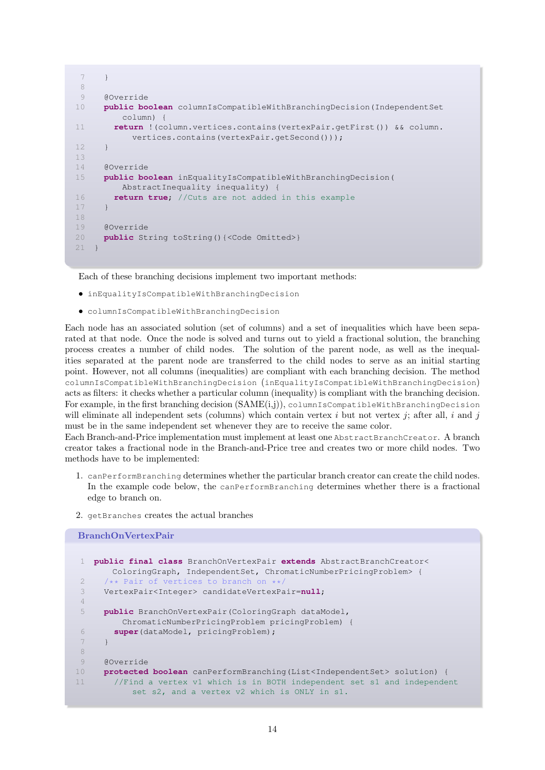```
7 }
8
9 @Override
10 public boolean columnIsCompatibleWithBranchingDecision(IndependentSet
         column) {
11 return !(column.vertices.contains(vertexPair.getFirst()) && column.
           vertices.contains(vertexPair.getSecond()));
12 }
13
14 @Override
15 public boolean inEqualityIsCompatibleWithBranchingDecision(
        AbstractInequality inequality) {
16 return true; //Cuts are not added in this example
17 }
18
19 @Override
20 public String toString(){<Code Omitted>}
21 }
```
Each of these branching decisions implement two important methods:

- inEqualityIsCompatibleWithBranchingDecision
- columnIsCompatibleWithBranchingDecision

Each node has an associated solution (set of columns) and a set of inequalities which have been separated at that node. Once the node is solved and turns out to yield a fractional solution, the branching process creates a number of child nodes. The solution of the parent node, as well as the inequalities separated at the parent node are transferred to the child nodes to serve as an initial starting point. However, not all columns (inequalities) are compliant with each branching decision. The method columnIsCompatibleWithBranchingDecision (inEqualityIsCompatibleWithBranchingDecision) acts as filters: it checks whether a particular column (inequality) is compliant with the branching decision. For example, in the first branching decision  $(SAME(i,j))$ , columnIsCompatibleWithBranchingDecision will eliminate all independent sets (columns) which contain vertex i but not vertex j; after all, i and j must be in the same independent set whenever they are to receive the same color.

Each Branch-and-Price implementation must implement at least one AbstractBranchCreator. A branch creator takes a fractional node in the Branch-and-Price tree and creates two or more child nodes. Two methods have to be implemented:

- 1. canPerformBranching determines whether the particular branch creator can create the child nodes. In the example code below, the canPerformBranching determines whether there is a fractional edge to branch on.
- 2. getBranches creates the actual branches

```
BranchOnVertexPair
1 public final class BranchOnVertexPair extends AbstractBranchCreator<
       ColoringGraph, IndependentSet, ChromaticNumberPricingProblem> {
2 /** Pair of vertices to branch on **/
3 VertexPair<Integer> candidateVertexPair=null;
4
5 public BranchOnVertexPair(ColoringGraph dataModel,
        ChromaticNumberPricingProblem pricingProblem) {
6 super(dataModel, pricingProblem);
7 }
8
9 @Override
10 protected boolean canPerformBranching(List<IndependentSet> solution) {
11 //Find a vertex v1 which is in BOTH independent set s1 and independent
           set s2, and a vertex v2 which is ONLY in s1.
```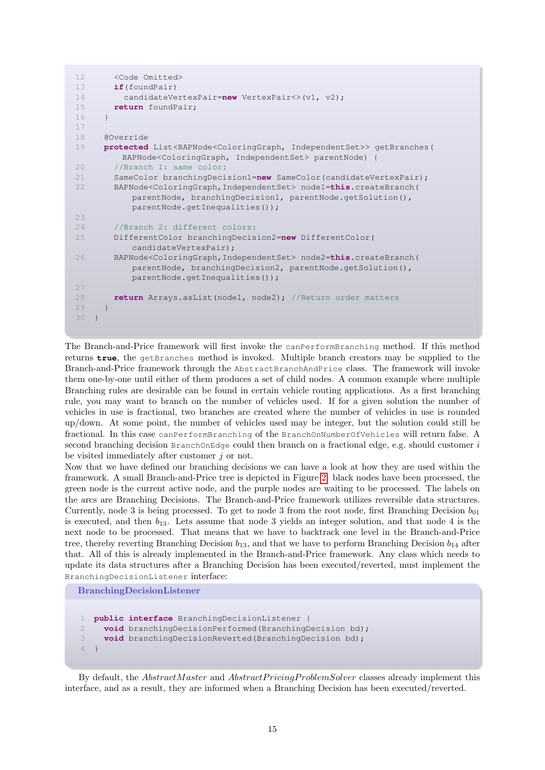```
12 <Code Omitted>
13 if(foundPair)
14 candidateVertexPair=new VertexPair<>(v1, v2);
15 return foundPair;
16 }
17
18 @Override
19 protected List<BAPNode<ColoringGraph, IndependentSet>> getBranches(
        BAPNode<ColoringGraph, IndependentSet> parentNode) {
20 //Branch 1: same color:
21 SameColor branchingDecision1=new SameColor(candidateVertexPair);
22 BAPNode<ColoringGraph,IndependentSet> node1=this.createBranch(
          parentNode, branchingDecision1, parentNode.getSolution(),
          parentNode.getInequalities());
23
24 //Branch 2: different colors:
25 DifferentColor branchingDecision2=new DifferentColor(
          candidateVertexPair);
26 BAPNode<ColoringGraph,IndependentSet> node2=this.createBranch(
          parentNode, branchingDecision2, parentNode.getSolution(),
          parentNode.getInequalities());
27
28 return Arrays.asList(node1, node2); //Return order matters
29 }
30 }
```
The Branch-and-Price framework will first invoke the canPerformBranching method. If this method returns **true**, the getBranches method is invoked. Multiple branch creators may be supplied to the Branch-and-Price framework through the AbstractBranchAndPrice class. The framework will invoke them one-by-one until either of them produces a set of child nodes. A common example where multiple Branching rules are desirable can be found in certain vehicle routing applications. As a first branching rule, you may want to branch on the number of vehicles used. If for a given solution the number of vehicles in use is fractional, two branches are created where the number of vehicles in use is rounded up/down. At some point, the number of vehicles used may be integer, but the solution could still be fractional. In this case canPerformBranching of the BranchOnNumberOfVehicles will return false. A second branching decision  $BranchOnEdge$  could then branch on a fractional edge, e.g. should customer  $i$ be visited immediately after customer j or not.

Now that we have defined our branching decisions we can have a look at how they are used within the framework. A small Branch-and-Price tree is depicted in Figure [2:](#page-15-0) black nodes have been processed, the green node is the current active node, and the purple nodes are waiting to be processed. The labels on the arcs are Branching Decisions. The Branch-and-Price framework utilizes reversible data structures. Currently, node 3 is being processed. To get to node 3 from the root node, first Branching Decision  $b_{01}$ is executed, and then  $b_{13}$ . Lets assume that node 3 yields an integer solution, and that node 4 is the next node to be processed. That means that we have to backtrack one level in the Branch-and-Price tree, thereby reverting Branching Decision  $b_{13}$ , and that we have to perform Branching Decision  $b_{14}$  after that. All of this is already implemented in the Branch-and-Price framework. Any class which needs to update its data structures after a Branching Decision has been executed/reverted, must implement the BranchingDecisionListener interface:

BranchingDecisionListener

```
1 public interface BranchingDecisionListener {
2 void branchingDecisionPerformed(BranchingDecision bd);
3 void branchingDecisionReverted(BranchingDecision bd);
4 }
```
By default, the *AbstractMaster* and *AbstractPricingProblemSolver* classes already implement this interface, and as a result, they are informed when a Branching Decision has been executed/reverted.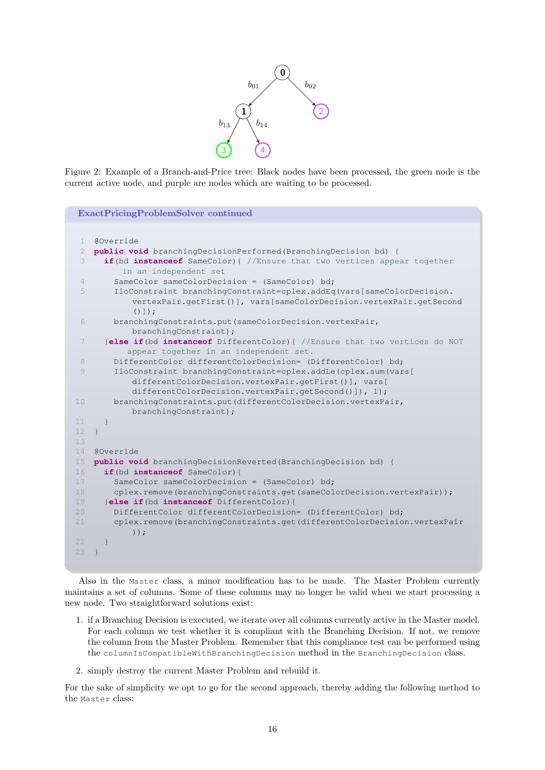

<span id="page-15-0"></span>Figure 2: Example of a Branch-and-Price tree: Black nodes have been processed, the green node is the current active node, and purple are nodes which are waiting to be processed.

| <b>ExactPricingProblemSolver continued</b> |                                                                                                                             |  |  |  |
|--------------------------------------------|-----------------------------------------------------------------------------------------------------------------------------|--|--|--|
|                                            |                                                                                                                             |  |  |  |
| $\mathbf{1}$                               | @Override                                                                                                                   |  |  |  |
| 2                                          | public void branchingDecisionPerformed (BranchingDecision bd) {                                                             |  |  |  |
| 3                                          | if (bd instanceof SameColor) { //Ensure that two vertices appear together<br>in an independent set                          |  |  |  |
| 4                                          | SameColor sameColorDecision = (SameColor) bd;                                                                               |  |  |  |
| 5                                          | IloConstraint branchingConstraint=cplex.addEq(vars[sameColorDecision.                                                       |  |  |  |
|                                            | vertexPair.getFirst()],                vars[sameColorDecision.vertexPair.getSecond<br>$()$ ]);                              |  |  |  |
| 6                                          | branchingConstraints.put(sameColorDecision.vertexPair,                                                                      |  |  |  |
|                                            | branchingConstraint);                                                                                                       |  |  |  |
| 7                                          | <b>else if (bd instanceof</b> DifferentColor) { //Ensure that two vertices do NOT<br>appear together in an independent set. |  |  |  |
| 8                                          | DifferentColor differentColorDecision= (DifferentColor) bd;                                                                 |  |  |  |
| 9                                          | IloConstraint branchingConstraint=cplex.addLe(cplex.sum(vars)                                                               |  |  |  |
|                                            | differentColorDecision.vertexPair.getFirst()], vars[<br>differentColorDecision.vertexPair.getSecond()]), 1);                |  |  |  |
| 10                                         | branchingConstraints.put(differentColorDecision.vertexPair,                                                                 |  |  |  |
|                                            | branchingConstraint);                                                                                                       |  |  |  |
| 11                                         | $\rightarrow$                                                                                                               |  |  |  |
| 12                                         | $\rightarrow$                                                                                                               |  |  |  |
| 13                                         |                                                                                                                             |  |  |  |
| 14                                         | @Override                                                                                                                   |  |  |  |
| 15                                         | public void branchingDecisionReverted (BranchingDecision bd) {                                                              |  |  |  |
| 16                                         | if (bd instance of SameColor) {                                                                                             |  |  |  |
| 17                                         | SameColor sameColorDecision = (SameColor) bd;                                                                               |  |  |  |
| 18                                         | cplex.remove(branchingConstraints.get(sameColorDecision.vertexPair));                                                       |  |  |  |
| 19                                         | }else if (bd instanceof DifferentColor) {                                                                                   |  |  |  |
| 20                                         | DifferentColor differentColorDecision= (DifferentColor) bd;                                                                 |  |  |  |
| 21                                         | cplex.remove(branchingConstraints.get(differentColorDecision.vertexPair<br>$)$ ) ;                                          |  |  |  |
| 22                                         |                                                                                                                             |  |  |  |
| 23                                         |                                                                                                                             |  |  |  |
|                                            |                                                                                                                             |  |  |  |

Also in the Master class, a minor modification has to be made. The Master Problem currently maintains a set of columns. Some of these columns may no longer be valid when we start processing a new node. Two straightforward solutions exist:

- 1. if a Branching Decision is executed, we iterate over all columns currently active in the Master model. For each column we test whether it is compliant with the Branching Decision. If not, we remove the column from the Master Problem. Remember that this compliance test can be performed using the columnIsCompatibleWithBranchingDecision method in the BranchingDecision class.
- 2. simply destroy the current Master Problem and rebuild it.

For the sake of simplicity we opt to go for the second approach, thereby adding the following method to the Master class: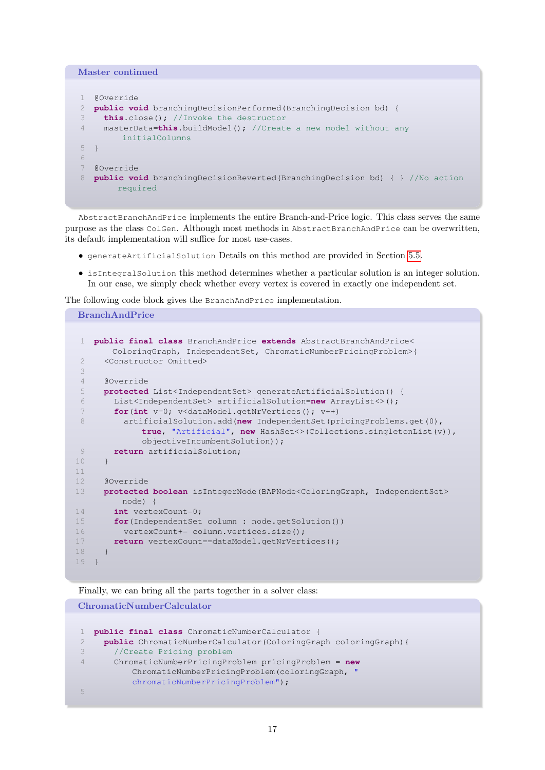| Master continued |                                                                                                        |  |
|------------------|--------------------------------------------------------------------------------------------------------|--|
|                  |                                                                                                        |  |
|                  | @Override                                                                                              |  |
|                  | <b>public void</b> branching Decision Performed (Branching Decision bd) {                              |  |
| 3                | <b>this.</b> close(); $//$ Invoke the destructor                                                       |  |
| $\overline{4}$   | masterData=this.buildModel(); //Create a new model without any                                         |  |
|                  | initialColumns                                                                                         |  |
| 5.               |                                                                                                        |  |
| 6                |                                                                                                        |  |
|                  | @Override                                                                                              |  |
| 8                | <b>public void</b> branching Decision Reverted (Branching Decision bd) $\{ \}$ //No action<br>required |  |

AbstractBranchAndPrice implements the entire Branch-and-Price logic. This class serves the same purpose as the class ColGen. Although most methods in AbstractBranchAndPrice can be overwritten, its default implementation will suffice for most use-cases.

- generateArtificialSolution Details on this method are provided in Section [5.5.](#page-33-0)
- isIntegralSolution this method determines whether a particular solution is an integer solution. In our case, we simply check whether every vertex is covered in exactly one independent set.

The following code block gives the BranchAndPrice implementation.

```
BranchAndPrice
```

```
1 public final class BranchAndPrice extends AbstractBranchAndPrice<
       ColoringGraph, IndependentSet, ChromaticNumberPricingProblem>{
 2 <Constructor Omitted>
 3
 4 @Override
 5 protected List<IndependentSet> generateArtificialSolution() {
 6 List<IndependentSet> artificialSolution=new ArrayList<>();
 7 for(int v=0; v<dataModel.getNrVertices(); v++)
 8 artificialSolution.add(new IndependentSet(pricingProblems.get(0),
            true, "Artificial", new HashSet<>(Collections.singletonList(v)),
            objectiveIncumbentSolution));
9 return artificialSolution;
10 }
11
12 @Override
13 protected boolean isIntegerNode(BAPNode<ColoringGraph, IndependentSet>
        node) {
14 int vertexCount=0;
15 for(IndependentSet column : node.getSolution())
16 vertexCount+= column.vertices.size();
17 return vertexCount==dataModel.getNrVertices();
18 }
19 }
```
Finally, we can bring all the parts together in a solver class:

ChromaticNumberCalculator

```
1 public final class ChromaticNumberCalculator {
2 public ChromaticNumberCalculator(ColoringGraph coloringGraph){
3 //Create Pricing problem
4 ChromaticNumberPricingProblem pricingProblem = new
          ChromaticNumberPricingProblem(coloringGraph, "
          chromaticNumberPricingProblem");
5
```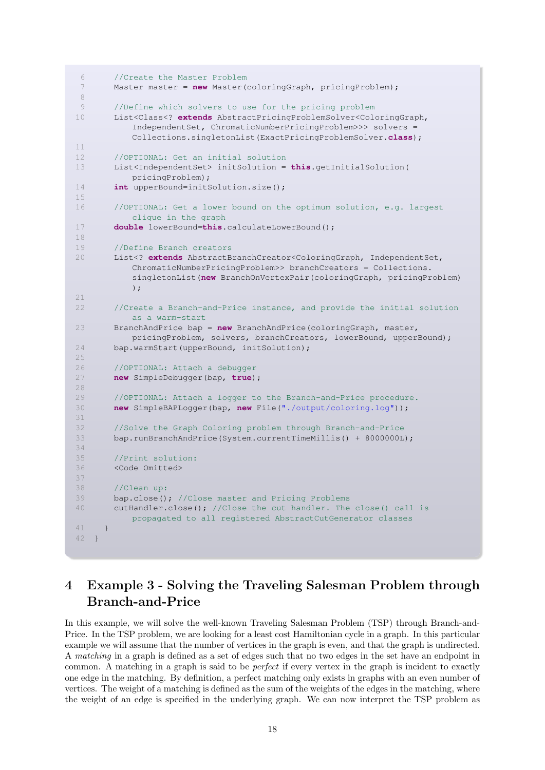```
6 //Create the Master Problem
 7 Master master = new Master(coloringGraph, pricingProblem);
 8
 9 //Define which solvers to use for the pricing problem
10 List<Class<? extends AbstractPricingProblemSolver<ColoringGraph,
           IndependentSet, ChromaticNumberPricingProblem>>> solvers =
          Collections.singletonList(ExactPricingProblemSolver.class);
11
12 //OPTIONAL: Get an initial solution
13 List<IndependentSet> initSolution = this.getInitialSolution(
          pricingProblem);
14 int upperBound=initSolution.size();
15
16 //OPTIONAL: Get a lower bound on the optimum solution, e.g. largest
          clique in the graph
17 double lowerBound=this.calculateLowerBound();
18
19 //Define Branch creators
20 List<? extends AbstractBranchCreator<ColoringGraph, IndependentSet,
          ChromaticNumberPricingProblem>> branchCreators = Collections.
          singletonList(new BranchOnVertexPair(coloringGraph, pricingProblem)
          );
21
22 //Create a Branch-and-Price instance, and provide the initial solution
          as a warm-start
23 BranchAndPrice bap = new BranchAndPrice(coloringGraph, master,
          pricingProblem, solvers, branchCreators, lowerBound, upperBound);
24 bap.warmStart(upperBound, initSolution);
25
26 //OPTIONAL: Attach a debugger
27 new SimpleDebugger(bap, true);
28
29 //OPTIONAL: Attach a logger to the Branch-and-Price procedure.
30 new SimpleBAPLogger(bap, new File("./output/coloring.log"));
31
32 //Solve the Graph Coloring problem through Branch-and-Price
33 bap.runBranchAndPrice(System.currentTimeMillis() + 8000000L);
34
35 //Print solution:
36 <Code Omitted>
37
38 //Clean up:
39 bap.close(); //Close master and Pricing Problems
40 cutHandler.close(); //Close the cut handler. The close() call is
          propagated to all registered AbstractCutGenerator classes
41 }
42 }
```
# <span id="page-17-0"></span>4 Example 3 - Solving the Traveling Salesman Problem through Branch-and-Price

In this example, we will solve the well-known Traveling Salesman Problem (TSP) through Branch-and-Price. In the TSP problem, we are looking for a least cost Hamiltonian cycle in a graph. In this particular example we will assume that the number of vertices in the graph is even, and that the graph is undirected. A matching in a graph is defined as a set of edges such that no two edges in the set have an endpoint in common. A matching in a graph is said to be perfect if every vertex in the graph is incident to exactly one edge in the matching. By definition, a perfect matching only exists in graphs with an even number of vertices. The weight of a matching is defined as the sum of the weights of the edges in the matching, where the weight of an edge is specified in the underlying graph. We can now interpret the TSP problem as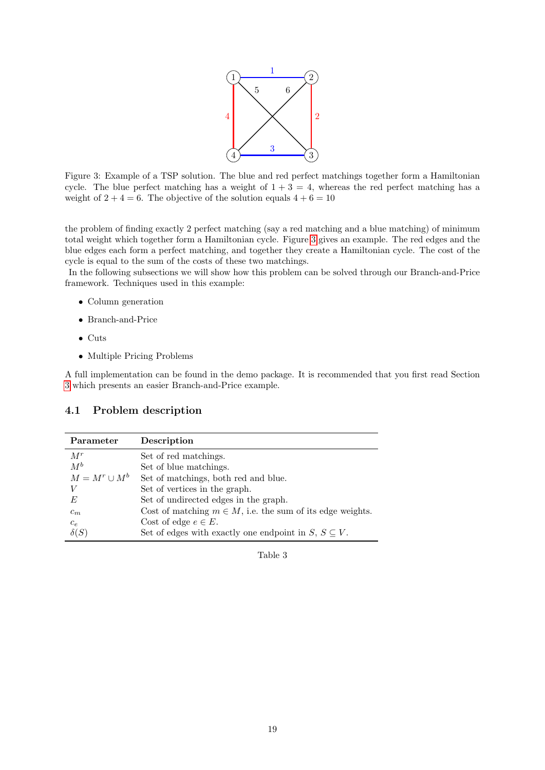

<span id="page-18-0"></span>Figure 3: Example of a TSP solution. The blue and red perfect matchings together form a Hamiltonian cycle. The blue perfect matching has a weight of  $1 + 3 = 4$ , whereas the red perfect matching has a weight of  $2 + 4 = 6$ . The objective of the solution equals  $4 + 6 = 10$ 

the problem of finding exactly 2 perfect matching (say a red matching and a blue matching) of minimum total weight which together form a Hamiltonian cycle. Figure [3](#page-18-0) gives an example. The red edges and the blue edges each form a perfect matching, and together they create a Hamiltonian cycle. The cost of the cycle is equal to the sum of the costs of these two matchings.

In the following subsections we will show how this problem can be solved through our Branch-and-Price framework. Techniques used in this example:

- Column generation
- Branch-and-Price
- Cuts
- Multiple Pricing Problems

A full implementation can be found in the demo package. It is recommended that you first read Section [3](#page-7-1) which presents an easier Branch-and-Price example.

#### 4.1 Problem description

| Parameter          | Description                                                    |
|--------------------|----------------------------------------------------------------|
| $M^r$              | Set of red matchings.                                          |
| $M^b$              | Set of blue matchings.                                         |
| $M = M^r \cup M^b$ | Set of matchings, both red and blue.                           |
| V                  | Set of vertices in the graph.                                  |
| E                  | Set of undirected edges in the graph.                          |
| $c_m$              | Cost of matching $m \in M$ , i.e. the sum of its edge weights. |
| $c_{e}$            | Cost of edge $e \in E$ .                                       |
|                    | Set of edges with exactly one endpoint in $S, S \subseteq V$ . |

Table 3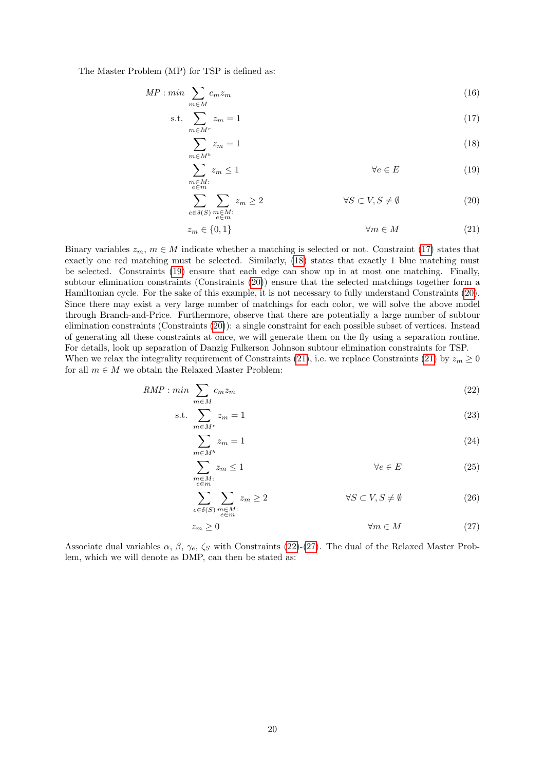The Master Problem (MP) for TSP is defined as:

$$
MP: min \sum_{m \in M} c_m z_m \tag{16}
$$

$$
\text{s.t.} \sum_{m \in M^r} z_m = 1 \tag{17}
$$

<span id="page-19-1"></span><span id="page-19-0"></span>
$$
\sum_{m \in M^b} z_m = 1 \tag{18}
$$

<span id="page-19-3"></span><span id="page-19-2"></span>
$$
\sum_{\substack{m \in M:\\e \in m}} z_m \le 1 \qquad \qquad \forall e \in E \tag{19}
$$

$$
\sum_{e \in \delta(S)} \sum_{\substack{m \in M:\\e \in m}} z_m \ge 2 \qquad \qquad \forall S \subset V, S \neq \emptyset \tag{20}
$$

<span id="page-19-4"></span>
$$
z_m \in \{0, 1\} \qquad \qquad \forall m \in M \tag{21}
$$

Binary variables  $z_m$ ,  $m \in M$  indicate whether a matching is selected or not. Constraint [\(17\)](#page-19-0) states that exactly one red matching must be selected. Similarly, [\(18\)](#page-19-1) states that exactly 1 blue matching must be selected. Constraints [\(19\)](#page-19-2) ensure that each edge can show up in at most one matching. Finally, subtour elimination constraints (Constraints [\(20\)](#page-19-3)) ensure that the selected matchings together form a Hamiltonian cycle. For the sake of this example, it is not necessary to fully understand Constraints [\(20\)](#page-19-3). Since there may exist a very large number of matchings for each color, we will solve the above model through Branch-and-Price. Furthermore, observe that there are potentially a large number of subtour elimination constraints (Constraints [\(20\)](#page-19-3)): a single constraint for each possible subset of vertices. Instead of generating all these constraints at once, we will generate them on the fly using a separation routine. For details, look up separation of Danzig Fulkerson Johnson subtour elimination constraints for TSP.

When we relax the integrality requirement of Constraints [\(21\)](#page-19-4), i.e. we replace Constraints (21) by  $z_m \geq 0$ for all  $m \in M$  we obtain the Relaxed Master Problem:

$$
RMP : min \sum_{m \in M} c_m z_m \tag{22}
$$

$$
\text{s.t.} \sum_{m \in M^r} z_m = 1 \tag{23}
$$

<span id="page-19-5"></span>
$$
\sum_{m \in M^b} z_m = 1 \tag{24}
$$

$$
\sum_{\substack{m \in M:\\e \in m}} z_m \le 1 \qquad \qquad \forall e \in E \tag{25}
$$

<span id="page-19-7"></span>
$$
\sum_{e \in \delta(S)} \sum_{\substack{m \in M: \\ e \in m}} z_m \ge 2 \qquad \qquad \forall S \subset V, S \neq \emptyset \tag{26}
$$

<span id="page-19-6"></span>
$$
z_m \ge 0 \qquad \qquad \forall m \in M \tag{27}
$$

Associate dual variables  $\alpha$ ,  $\beta$ ,  $\gamma_e$ ,  $\zeta_s$  with Constraints [\(22\)](#page-19-5)-[\(27\)](#page-19-6). The dual of the Relaxed Master Problem, which we will denote as DMP, can then be stated as: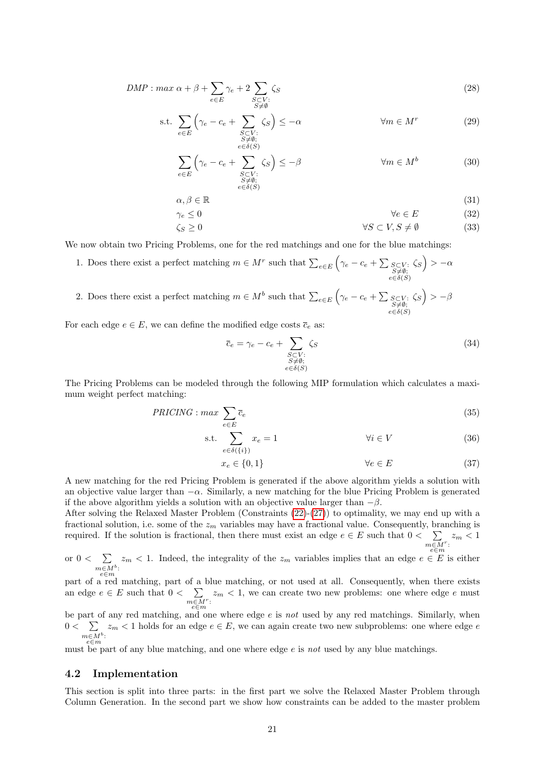$$
DMP : max \alpha + \beta + \sum_{e \in E} \gamma_e + 2 \sum_{\substack{S \subset V : \\ S \neq \emptyset}} \zeta_S \tag{28}
$$

s.t. 
$$
\sum_{e \in E} \left( \gamma_e - c_e + \sum_{\substack{S \subset V : \\ S \neq \emptyset; \\ e \in \delta(S)}} \zeta_S \right) \leq -\alpha \qquad \forall m \in M^r
$$
 (29)

$$
\sum_{e \in E} \left( \gamma_e - c_e + \sum_{\substack{S \subset V : \\ S \neq \emptyset; \\ e \in \delta(S)}} \zeta_S \right) \leq -\beta \qquad \forall m \in M^b \tag{30}
$$

$$
\alpha, \beta \in \mathbb{R} \tag{31}
$$

$$
\gamma_e \le 0 \qquad \qquad \forall e \in E \tag{32}
$$

$$
\zeta_S \ge 0 \qquad \qquad \forall S \subset V, S \ne \emptyset \tag{33}
$$

We now obtain two Pricing Problems, one for the red matchings and one for the blue matchings:

- 1. Does there exist a perfect matching  $m \in M^r$  such that  $\sum_{e \in E} \left( \gamma_e c_e + \sum_{\substack{S \subset V: \\ e \in \delta(S)}}_{e \in \delta(S)} \right)$  $\zeta_S$ ) >  $-\alpha$
- 2. Does there exist a perfect matching  $m \in M^b$  such that  $\sum_{e \in E} \left( \gamma_e c_e + \sum_{\substack{S \subset V: \\ e \in \delta(S)}}_{\substack{e \in \delta(S)}} \right)$  $\zeta_S$ ) >  $-\beta$

For each edge  $e \in E$ , we can define the modified edge costs  $\overline{c}_e$  as:

<span id="page-20-0"></span>
$$
\overline{c}_e = \gamma_e - c_e + \sum_{\substack{S \subset V : \\ S \neq \emptyset; \\ e \in \delta(S)}} \zeta_S \tag{34}
$$

The Pricing Problems can be modeled through the following MIP formulation which calculates a maximum weight perfect matching:

$$
PRICING: max \sum_{e \in E} \overline{c}_e \tag{35}
$$

s.t. 
$$
\sum_{e \in \delta(\{i\})} x_e = 1 \qquad \forall i \in V \qquad (36)
$$

$$
x_e \in \{0, 1\} \qquad \qquad \forall e \in E \tag{37}
$$

A new matching for the red Pricing Problem is generated if the above algorithm yields a solution with an objective value larger than  $-\alpha$ . Similarly, a new matching for the blue Pricing Problem is generated if the above algorithm yields a solution with an objective value larger than  $-\beta$ .

After solving the Relaxed Master Problem (Constraints  $(22)-(27)$  $(22)-(27)$  $(22)-(27)$ ) to optimality, we may end up with a fractional solution, i.e. some of the  $z_m$  variables may have a fractional value. Consequently, branching is required. If the solution is fractional, then there must exist an edge  $e \in E$  such that  $0 \lt \sum$  $\sum_{m\in M^r} z_m < 1$ 

or  $0 < \sum_{m} z_m < 1$ . Indeed, the integrality of the  $z_m$  variables implies that an edge  $e \in E$  $m \in M^b: e \in m$  $z_m < 1$ . Indeed, the integrality of the  $z_m$  variables implies that an edge  $e \in E$  is either

part of a red matching, part of a blue matching, or not used at all. Consequently, when there exists an edge  $e \in E$  such that  $0 < \sum$  $m \overline{\epsilon M}^r$ :  $z_m < 1$ , we can create two new problems: one where edge e must

be part of any red matching, and one where edge  $e$  is not used by any red matchings. Similarly, when  $0 < \sum$  $m \in M^b: e \in m$  $z_m < 1$  holds for an edge  $e \in E$ , we can again create two new subproblems: one where edge  $e$ 

must be part of any blue matching, and one where edge  $e$  is not used by any blue matchings.

#### 4.2 Implementation

This section is split into three parts: in the first part we solve the Relaxed Master Problem through Column Generation. In the second part we show how constraints can be added to the master problem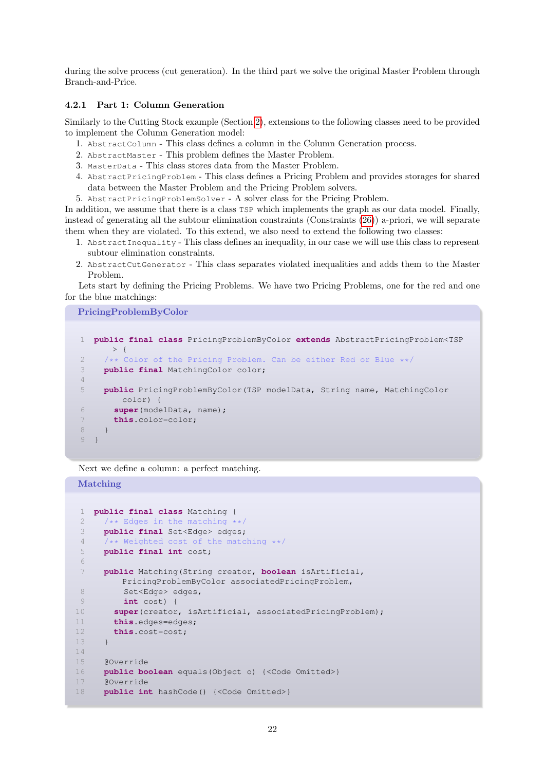during the solve process (cut generation). In the third part we solve the original Master Problem through Branch-and-Price.

#### 4.2.1 Part 1: Column Generation

Similarly to the Cutting Stock example (Section [2\)](#page-1-2), extensions to the following classes need to be provided to implement the Column Generation model:

- 1. AbstractColumn This class defines a column in the Column Generation process.
- 2. AbstractMaster This problem defines the Master Problem.
- 3. MasterData This class stores data from the Master Problem.
- 4. AbstractPricingProblem This class defines a Pricing Problem and provides storages for shared data between the Master Problem and the Pricing Problem solvers.
- 5. AbstractPricingProblemSolver A solver class for the Pricing Problem.

In addition, we assume that there is a class TSP which implements the graph as our data model. Finally, instead of generating all the subtour elimination constraints (Constraints [\(26\)](#page-19-7)) a-priori, we will separate them when they are violated. To this extend, we also need to extend the following two classes:

- 1. AbstractInequality This class defines an inequality, in our case we will use this class to represent subtour elimination constraints.
- 2. AbstractCutGenerator This class separates violated inequalities and adds them to the Master Problem.

Lets start by defining the Pricing Problems. We have two Pricing Problems, one for the red and one for the blue matchings:

PricingProblemByColor

```
1 public final class PricingProblemByColor extends AbstractPricingProblem<TSP
      > {
2 /** Color of the Pricing Problem. Can be either Red or Blue **/
3 public final MatchingColor color;
4
5 public PricingProblemByColor(TSP modelData, String name, MatchingColor
       color) {
6 super(modelData, name);
7 this.color=color;
8 }
9 }
```
Next we define a column: a perfect matching.

#### Matching

```
1 public final class Matching {
2 /** Edges in the matching **/3 public final Set<Edge> edges;
4 /** Weighted cost of the matching **/
5 public final int cost;
6
7 public Matching(String creator, boolean isArtificial,
        PricingProblemByColor associatedPricingProblem,
8 Set<Edge> edges,
9 int cost) {
10 super(creator, isArtificial, associatedPricingProblem);
11 this.edges=edges;
12 this.cost=cost;
13 }
14
15 @Override
16 public boolean equals(Object o) {<Code Omitted>}
17 @Override
18 public int hashCode() {<Code Omitted>}
```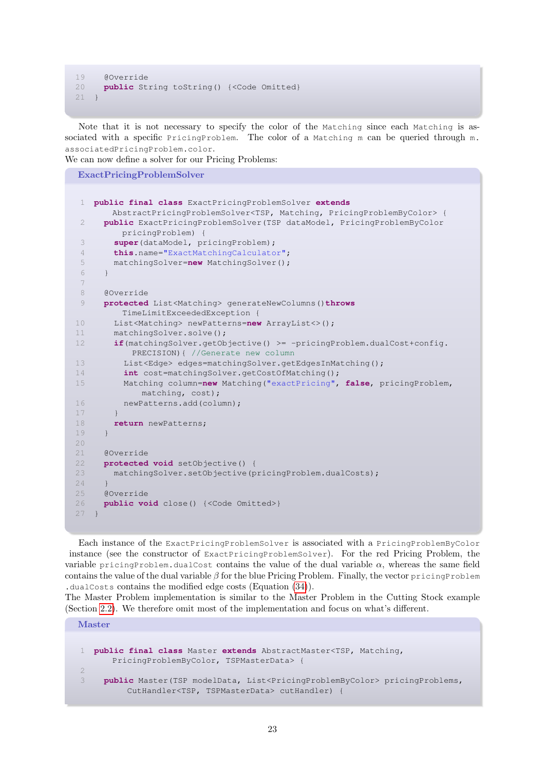```
19 @Override
20 public String toString() {<Code Omitted}
21 }
```
Note that it is not necessary to specify the color of the Matching since each Matching is associated with a specific PricingProblem. The color of a Matching m can be queried through m. associatedPricingProblem.color.

We can now define a solver for our Pricing Problems:

```
ExactPricingProblemSolver
```

```
1 public final class ExactPricingProblemSolver extends
       AbstractPricingProblemSolver<TSP, Matching, PricingProblemByColor> {
 2 public ExactPricingProblemSolver(TSP dataModel, PricingProblemByColor
        pricingProblem) {
 3 super(dataModel, pricingProblem);
 4 this.name="ExactMatchingCalculator";
 5 matchingSolver=new MatchingSolver();
 6 }
 7
 8 @Override
 9 protected List<Matching> generateNewColumns()throws
        TimeLimitExceededException {
10 List<Matching> newPatterns=new ArrayList<>();
11 matchingSolver.solve();
12 if(matchingSolver.getObjective() >= -pricingProblem.dualCost+config.
          PRECISION){ //Generate new column
13 List<Edge> edges=matchingSolver.getEdgesInMatching();
14 int cost=matchingSolver.getCostOfMatching();
15 Matching column=new Matching("exactPricing", false, pricingProblem,
            matching, cost);
16 newPatterns.add(column);
17 }
18 return newPatterns;
19 }
2.021 @Override
22 protected void setObjective() {
23 matchingSolver.setObjective(pricingProblem.dualCosts);
2425 @Override
26 public void close() {<Code Omitted>}
27
```
<span id="page-22-0"></span>Each instance of the ExactPricingProblemSolver is associated with a PricingProblemByColor instance (see the constructor of ExactPricingProblemSolver). For the red Pricing Problem, the variable pricingProblem.dualCost contains the value of the dual variable  $\alpha$ , whereas the same field contains the value of the dual variable  $\beta$  for the blue Pricing Problem. Finally, the vector pricingProblem .dualCosts contains the modified edge costs (Equation [\(34\)](#page-20-0)).

The Master Problem implementation is similar to the Master Problem in the Cutting Stock example (Section [2.2\)](#page-1-3). We therefore omit most of the implementation and focus on what's different.

Master

```
1 public final class Master extends AbstractMaster<TSP, Matching,
      PricingProblemByColor, TSPMasterData> {
\overline{2}3 public Master(TSP modelData, List<PricingProblemByColor> pricingProblems,
         CutHandler<TSP, TSPMasterData> cutHandler) {
```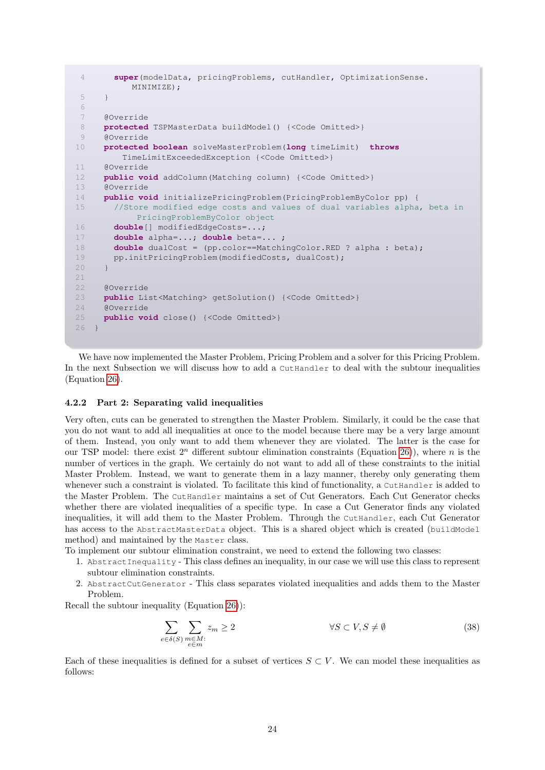```
4 super(modelData, pricingProblems, cutHandler, OptimizationSense.
          MINIMIZE);
5 }
6
7 @Override
8 protected TSPMasterData buildModel() {<Code Omitted>}
9 @Override
10 protected boolean solveMasterProblem(long timeLimit) throws
         TimeLimitExceededException {<Code Omitted>}
11 @Override
12 public void addColumn(Matching column) {<Code Omitted>}
13 @Override
14 public void initializePricingProblem(PricingProblemByColor pp) {
15 //Store modified edge costs and values of dual variables alpha, beta in
           PricingProblemByColor object
16 double[] modifiedEdgeCosts=...;
17 double alpha=...; double beta=... ;
18 double dualCost = (pp.color==MatchingColor.RED ? alpha : beta);
19 pp.initPricingProblem(modifiedCosts, dualCost);
20 }
21
22 @Override
     23 public List<Matching> getSolution() {<Code Omitted>}
24 @Override
25 public void close() {<Code Omitted>}
26 }
```
We have now implemented the Master Problem, Pricing Problem and a solver for this Pricing Problem. In the next Subsection we will discuss how to add a CutHandler to deal with the subtour inequalities (Equation [26\)](#page-19-7).

#### <span id="page-23-0"></span>4.2.2 Part 2: Separating valid inequalities

Very often, cuts can be generated to strengthen the Master Problem. Similarly, it could be the case that you do not want to add all inequalities at once to the model because there may be a very large amount of them. Instead, you only want to add them whenever they are violated. The latter is the case for our TSP model: there exist  $2<sup>n</sup>$  different subtour elimination constraints (Equation [26\)](#page-19-7)), where n is the number of vertices in the graph. We certainly do not want to add all of these constraints to the initial Master Problem. Instead, we want to generate them in a lazy manner, thereby only generating them whenever such a constraint is violated. To facilitate this kind of functionality, a CutHandler is added to the Master Problem. The CutHandler maintains a set of Cut Generators. Each Cut Generator checks whether there are violated inequalities of a specific type. In case a Cut Generator finds any violated inequalities, it will add them to the Master Problem. Through the CutHandler, each Cut Generator has access to the AbstractMasterData object. This is a shared object which is created (buildModel method) and maintained by the Master class.

To implement our subtour elimination constraint, we need to extend the following two classes:

- 1. AbstractInequality This class defines an inequality, in our case we will use this class to represent subtour elimination constraints.
- 2. AbstractCutGenerator This class separates violated inequalities and adds them to the Master Problem.

Recall the subtour inequality (Equation [26\)](#page-19-7)):

$$
\sum_{e \in \delta(S)} \sum_{\substack{m \in M:\\e \in m}} z_m \ge 2 \qquad \qquad \forall S \subset V, S \neq \emptyset \tag{38}
$$

Each of these inequalities is defined for a subset of vertices  $S \subset V$ . We can model these inequalities as follows: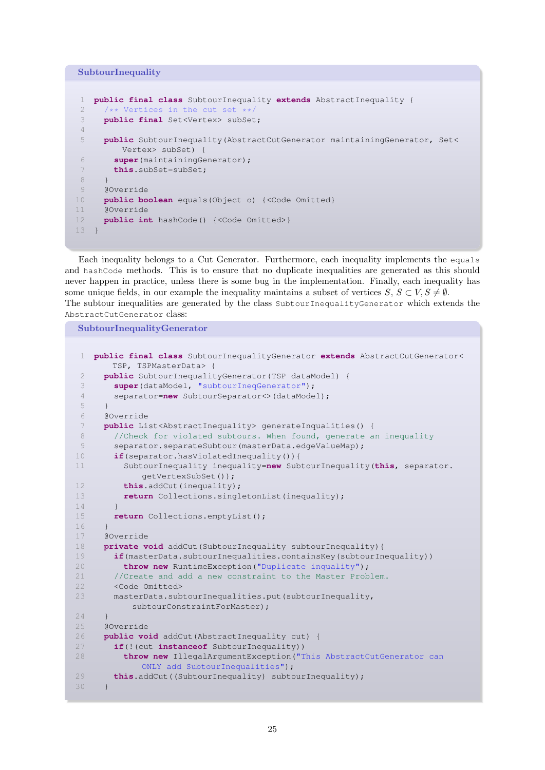SubtourInequality

```
1 public final class SubtourInequality extends AbstractInequality {
2 /** Vertices in the cut set **/
3 public final Set<Vertex> subSet;
4
5 public SubtourInequality(AbstractCutGenerator maintainingGenerator, Set<
        Vertex> subSet) {
6 super(maintainingGenerator);
7 this.subSet=subSet;
8 }
9 @Override
10 public boolean equals(Object o) {<Code Omitted}
11 @Override
12 public int hashCode() {<Code Omitted>}
13 }
```
Each inequality belongs to a Cut Generator. Furthermore, each inequality implements the equals and hashCode methods. This is to ensure that no duplicate inequalities are generated as this should never happen in practice, unless there is some bug in the implementation. Finally, each inequality has some unique fields, in our example the inequality maintains a subset of vertices  $S, S \subset V, S \neq \emptyset$ . The subtour inequalities are generated by the class SubtourInequalityGenerator which extends the AbstractCutGenerator class:

SubtourInequalityGenerator

```
1 public final class SubtourInequalityGenerator extends AbstractCutGenerator<
       TSP, TSPMasterData> {
 2 public SubtourInequalityGenerator(TSP dataModel) {
 3 super(dataModel, "subtourIneqGenerator");
 4 separator=new SubtourSeparator<>(dataModel);
 5 }
 6 @Override
 7 public List<AbstractInequality> generateInqualities() {
 8 //Check for violated subtours. When found, generate an inequality
 9 separator.separateSubtour(masterData.edgeValueMap);
10 if(separator.hasViolatedInequality()){
11 SubtourInequality inequality=new SubtourInequality(this, separator.
            getVertexSubSet());
12 this.addCut(inequality);
13 return Collections.singletonList(inequality);
14 }
15 return Collections.emptyList();
16 \t}17 @Override
18 private void addCut(SubtourInequality subtourInequality){
19 if(masterData.subtourInequalities.containsKey(subtourInequality))
20 throw new RuntimeException("Duplicate inquality");
21 //Create and add a new constraint to the Master Problem.
22 <Code Omitted>
23 masterData.subtourInequalities.put(subtourInequality,
          subtourConstraintForMaster);
24 }
25 @Override
26 public void addCut(AbstractInequality cut) {
27 if(!(cut instanceof SubtourInequality))
28 throw new IllegalArgumentException("This AbstractCutGenerator can
            ONLY add SubtourInequalities");
29 this.addCut((SubtourInequality) subtourInequality);
30 }
```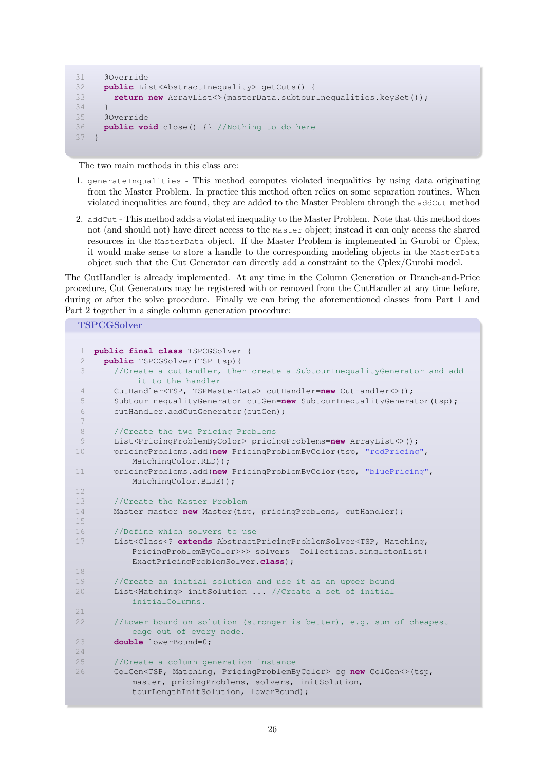```
31 @Override
32 public List<AbstractInequality> getCuts() {
33 return new ArrayList<>(masterData.subtourInequalities.keySet());
34 }
35 @Override
36 public void close() {} //Nothing to do here
37 }
```
The two main methods in this class are:

- 1. generateInqualities This method computes violated inequalities by using data originating from the Master Problem. In practice this method often relies on some separation routines. When violated inequalities are found, they are added to the Master Problem through the addCut method
- 2. addCut This method adds a violated inequality to the Master Problem. Note that this method does not (and should not) have direct access to the Master object; instead it can only access the shared resources in the MasterData object. If the Master Problem is implemented in Gurobi or Cplex, it would make sense to store a handle to the corresponding modeling objects in the MasterData object such that the Cut Generator can directly add a constraint to the Cplex/Gurobi model.

The CutHandler is already implemented. At any time in the Column Generation or Branch-and-Price procedure, Cut Generators may be registered with or removed from the CutHandler at any time before, during or after the solve procedure. Finally we can bring the aforementioned classes from Part 1 and Part 2 together in a single column generation procedure:

TSPCGSolver

```
1 public final class TSPCGSolver {
 2 public TSPCGSolver(TSP tsp){
 3 //Create a cutHandler, then create a SubtourInequalityGenerator and add
           it to the handler
 4 CutHandler<TSP, TSPMasterData> cutHandler=new CutHandler<>();
 5 SubtourInequalityGenerator cutGen=new SubtourInequalityGenerator(tsp);
 6 cutHandler.addCutGenerator(cutGen);
 7
 8 //Create the two Pricing Problems
 9 List<PricingProblemByColor> pricingProblems=new ArrayList<>();
10 pricingProblems.add(new PricingProblemByColor(tsp, "redPricing",
          MatchingColor.RED));
11 pricingProblems.add(new PricingProblemByColor(tsp, "bluePricing",
          MatchingColor.BLUE));
12
13 //Create the Master Problem
14 Master master=new Master(tsp, pricingProblems, cutHandler);
15
16 //Define which solvers to use
17 List<Class<? extends AbstractPricingProblemSolver<TSP, Matching,
          PricingProblemByColor>>> solvers= Collections.singletonList(
           ExactPricingProblemSolver.class);
18
19 //Create an initial solution and use it as an upper bound
20 List<Matching> initSolution=... //Create a set of initial
          initialColumns.
2122 //Lower bound on solution (stronger is better), e.g. sum of cheapest
          edge out of every node.
23 double lowerBound=0;
24
25 //Create a column generation instance
26 ColGen<TSP, Matching, PricingProblemByColor> cg=new ColGen<>(tsp,
          master, pricingProblems, solvers, initSolution,
           tourLengthInitSolution, lowerBound);
```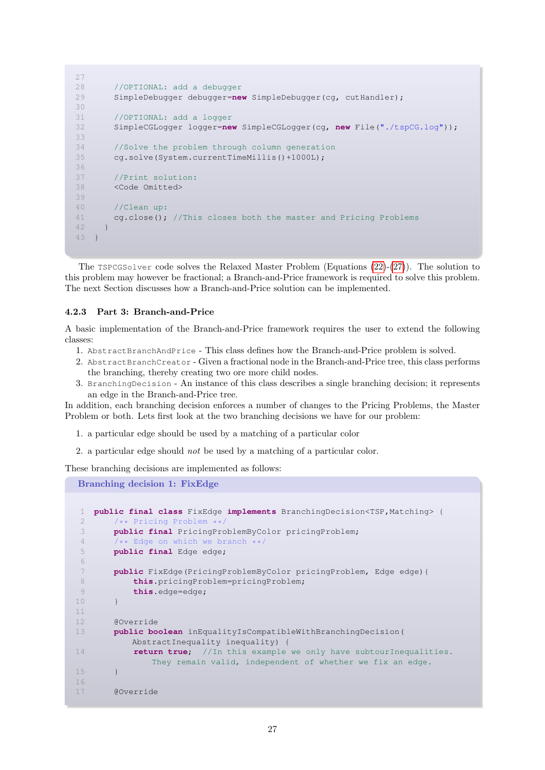```
27
28 //OPTIONAL: add a debugger
29 SimpleDebugger debugger=new SimpleDebugger(cg, cutHandler);
30
31 //OPTIONAL: add a logger
32 SimpleCGLogger logger=new SimpleCGLogger(cg, new File("./tspCG.log"));
33
34 //Solve the problem through column generation
35 cg.solve(System.currentTimeMillis()+1000L);
36
37 //Print solution:
38 <Code Omitted>
39
40 //Clean up:
41 cg.close(); //This closes both the master and Pricing Problems
42 }
43 }
```
The TSPCGSolver code solves the Relaxed Master Problem (Equations [\(22\)](#page-19-5)-[\(27\)](#page-19-6)). The solution to this problem may however be fractional; a Branch-and-Price framework is required to solve this problem. The next Section discusses how a Branch-and-Price solution can be implemented.

#### 4.2.3 Part 3: Branch-and-Price

A basic implementation of the Branch-and-Price framework requires the user to extend the following classes:

- 1. AbstractBranchAndPrice This class defines how the Branch-and-Price problem is solved.
- 2. AbstractBranchCreator Given a fractional node in the Branch-and-Price tree, this class performs the branching, thereby creating two ore more child nodes.
- 3. BranchingDecision An instance of this class describes a single branching decision; it represents an edge in the Branch-and-Price tree.

In addition, each branching decision enforces a number of changes to the Pricing Problems, the Master Problem or both. Lets first look at the two branching decisions we have for our problem:

- 1. a particular edge should be used by a matching of a particular color
- 2. a particular edge should not be used by a matching of a particular color.

These branching decisions are implemented as follows:

Branching decision 1: FixEdge

```
1 public final class FixEdge implements BranchingDecision<TSP,Matching> {
2 /** Pricing Problem **/
3 public final PricingProblemByColor pricingProblem;
4 /** Edge on which we branch **/
5 public final Edge edge;
6
7 public FixEdge(PricingProblemByColor pricingProblem, Edge edge){
8 this.pricingProblem=pricingProblem;
9 this.edge=edge;
10 }
11
12 @Override
13 public boolean inEqualityIsCompatibleWithBranchingDecision(
          AbstractInequality inequality) {
14 return true; //In this example we only have subtourInequalities.
              They remain valid, independent of whether we fix an edge.
15 }
16
17 @Override
```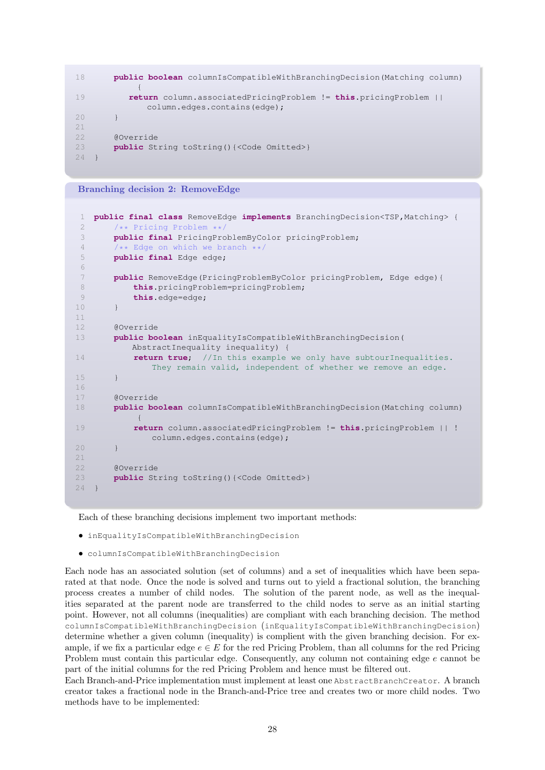```
18 public boolean columnIsCompatibleWithBranchingDecision(Matching column)
            {
19 return column.associatedPricingProblem != this.pricingProblem ||
              column.edges.contains(edge);
20 }
21
22 @Override
23 public String toString(){<Code Omitted>}
24 \frac{1}{2}
```
Branching decision 2: RemoveEdge

```
1 public final class RemoveEdge implements BranchingDecision<TSP,Matching> {
2 /** Pricing Problem **/
3 public final PricingProblemByColor pricingProblem;
4 /** Edge on which we branch **/<br>5 public final Edge edge:
       5 public final Edge edge;
6
7 public RemoveEdge(PricingProblemByColor pricingProblem, Edge edge){
8 this.pricingProblem=pricingProblem;
9 this.edge=edge;
10 }
11
12 @Override
13 public boolean inEqualityIsCompatibleWithBranchingDecision(
          AbstractInequality inequality) {
14 return true; //In this example we only have subtourInequalities.
              They remain valid, independent of whether we remove an edge.
15 \t316
17 @Override
18 public boolean columnIsCompatibleWithBranchingDecision(Matching column)
           {
19 return column.associatedPricingProblem != this.pricingProblem || !
              column.edges.contains(edge);
20 }
21
22 @Override
23 public String toString(){<Code Omitted>}
24 - 1
```
Each of these branching decisions implement two important methods:

- inEqualityIsCompatibleWithBranchingDecision
- columnIsCompatibleWithBranchingDecision

Each node has an associated solution (set of columns) and a set of inequalities which have been separated at that node. Once the node is solved and turns out to yield a fractional solution, the branching process creates a number of child nodes. The solution of the parent node, as well as the inequalities separated at the parent node are transferred to the child nodes to serve as an initial starting point. However, not all columns (inequalities) are compliant with each branching decision. The method columnIsCompatibleWithBranchingDecision (inEqualityIsCompatibleWithBranchingDecision) determine whether a given column (inequality) is complient with the given branching decision. For example, if we fix a particular edge  $e \in E$  for the red Pricing Problem, than all columns for the red Pricing Problem must contain this particular edge. Consequently, any column not containing edge e cannot be part of the initial columns for the red Pricing Problem and hence must be filtered out.

Each Branch-and-Price implementation must implement at least one AbstractBranchCreator. A branch creator takes a fractional node in the Branch-and-Price tree and creates two or more child nodes. Two methods have to be implemented: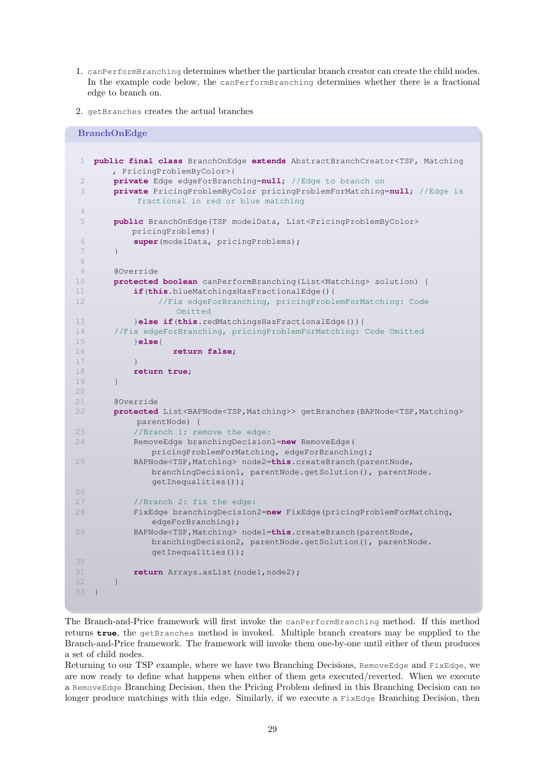- 1. canPerformBranching determines whether the particular branch creator can create the child nodes. In the example code below, the canPerformBranching determines whether there is a fractional edge to branch on.
- 2. getBranches creates the actual branches

```
BranchOnEdge
1 public final class BranchOnEdge extends AbstractBranchCreator<TSP, Matching
      , PricingProblemByColor>{
2 private Edge edgeForBranching=null; //Edge to branch on
3 private PricingProblemByColor pricingProblemForMatching=null; //Edge is
           fractional in red or blue matching
4
 5 public BranchOnEdge(TSP modelData, List<PricingProblemByColor>
          pricingProblems){
6 super(modelData, pricingProblems);
7 }
8
9 @Override
10 protected boolean canPerformBranching(List<Matching> solution) {
11 if(this.blueMatchingsHasFractionalEdge(){
12 //Fix edgeForBranching, pricingProblemForMatching: Code
                  Omitted
13 }else if(this.redMatchingsHasFractionalEdge()){
14 //Fix edgeForBranching, pricingProblemForMatching: Code Omitted
15 }else{
16 return false;
17 }
18 return true;
19 }
2.021 @Override
22 protected List<BAPNode<TSP,Matching>> getBranches(BAPNode<TSP,Matching>
           parentNode) {
23 //Branch 1: remove the edge:
24 RemoveEdge branchingDecision1=new RemoveEdge(
             pricingProblemForMatching, edgeForBranching);
25 BAPNode<TSP,Matching> node2=this.createBranch(parentNode,
             branchingDecision1, parentNode.getSolution(), parentNode.
             getInequalities());
26
27 //Branch 2: fix the edge:
28 FixEdge branchingDecision2=new FixEdge(pricingProblemForMatching,
             edgeForBranching);
29 BAPNode<TSP,Matching> node1=this.createBranch(parentNode,
             branchingDecision2, parentNode.getSolution(), parentNode.
             getInequalities());
30
31 return Arrays.asList(node1,node2);
32 }
33 }
```
The Branch-and-Price framework will first invoke the canPerformBranching method. If this method returns **true**, the getBranches method is invoked. Multiple branch creators may be supplied to the Branch-and-Price framework. The framework will invoke them one-by-one until either of them produces a set of child nodes.

Returning to our TSP example, where we have two Branching Decisions, RemoveEdge and FixEdge, we are now ready to define what happens when either of them gets executed/reverted. When we execute a RemoveEdge Branching Decision, then the Pricing Problem defined in this Branching Decision can no longer produce matchings with this edge. Similarly, if we execute a Fixedge Branching Decision, then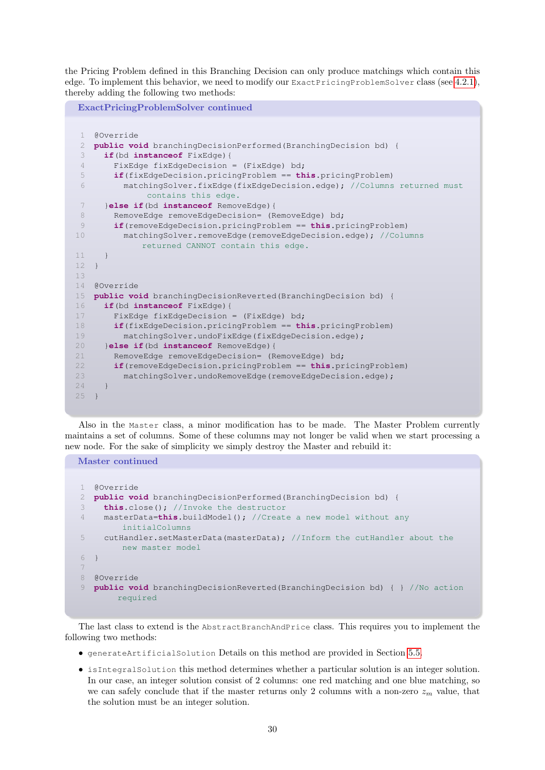the Pricing Problem defined in this Branching Decision can only produce matchings which contain this edge. To implement this behavior, we need to modify our ExactPricingProblemSolver class (see [4.2.1\)](#page-22-0), thereby adding the following two methods:

```
ExactPricingProblemSolver continued
 1 @Override
 2 public void branchingDecisionPerformed(BranchingDecision bd) {
 3 if(bd instanceof FixEdge){
 4 FixEdge fixEdgeDecision = (FixEdge) bd;
 5 if(fixEdgeDecision.pricingProblem == this.pricingProblem)
 6 matchingSolver.fixEdge(fixEdgeDecision.edge); //Columns returned must
             contains this edge.
 7 }else if(bd instanceof RemoveEdge){
 8 RemoveEdge removeEdgeDecision= (RemoveEdge) bd;
 9 if(removeEdgeDecision.pricingProblem == this.pricingProblem)
10 matchingSolver.removeEdge(removeEdgeDecision.edge); //Columns
            returned CANNOT contain this edge.
11 }
12 }
13
14 @Override
15 public void branchingDecisionReverted(BranchingDecision bd) {
16 if(bd instanceof FixEdge){
17 FixEdge fixEdgeDecision = (FixEdge) bd;
18 if(fixEdgeDecision.pricingProblem == this.pricingProblem)
19 matchingSolver.undoFixEdge(fixEdgeDecision.edge);
20 }else if(bd instanceof RemoveEdge){
21 RemoveEdge removeEdgeDecision= (RemoveEdge) bd;
22 if(removeEdgeDecision.pricingProblem == this.pricingProblem)
23 matchingSolver.undoRemoveEdge(removeEdgeDecision.edge);
24 }
25 }
```
Also in the Master class, a minor modification has to be made. The Master Problem currently maintains a set of columns. Some of these columns may not longer be valid when we start processing a new node. For the sake of simplicity we simply destroy the Master and rebuild it:

Master continued

```
1 @Override
  2 public void branchingDecisionPerformed(BranchingDecision bd) {
3 this.close(); //Invoke the destructor
4 masterData=this.buildModel(); //Create a new model without any
        initialColumns
5 cutHandler.setMasterData(masterData); //Inform the cutHandler about the
        new master model
6 }
7
8 @Override
9 public void branchingDecisionReverted(BranchingDecision bd) { } //No action
       required
```
The last class to extend is the AbstractBranchAndPrice class. This requires you to implement the following two methods:

- generateArtificialSolution Details on this method are provided in Section [5.5.](#page-33-0)
- isIntegralSolution this method determines whether a particular solution is an integer solution. In our case, an integer solution consist of 2 columns: one red matching and one blue matching, so we can safely conclude that if the master returns only 2 columns with a non-zero  $z_m$  value, that the solution must be an integer solution.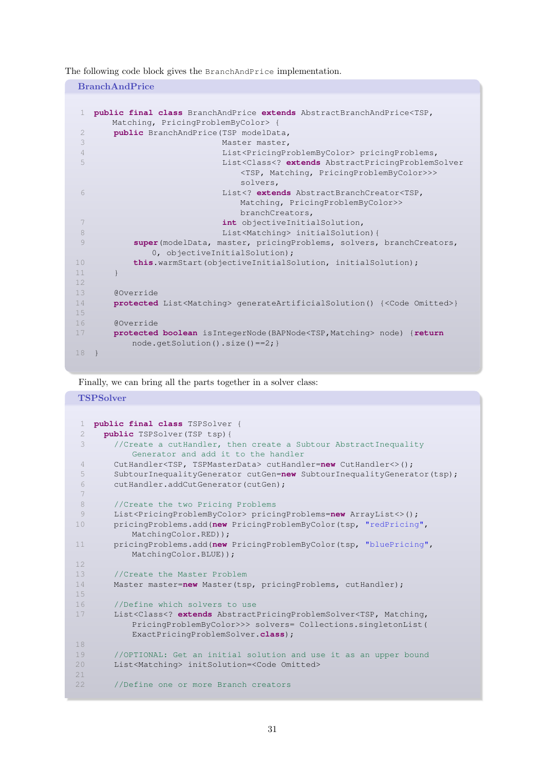The following code block gives the BranchAndPrice implementation.

BranchAndPrice

```
1 public final class BranchAndPrice extends AbstractBranchAndPrice<TSP,
      Matching, PricingProblemByColor> {
2 public BranchAndPrice(TSP modelData,
3 Master master,
4 List<PricingProblemByColor> pricingProblems,
5 List<Class<? extends AbstractPricingProblemSolver
                           <TSP, Matching, PricingProblemByColor>>>
                           solvers,
6 List<? extends AbstractBranchCreator<TSP,
                           Matching, PricingProblemByColor>>
                           branchCreators,
7 int objectiveInitialSolution,
8 B List<Matching> initialSolution) {
9 super(modelData, master, pricingProblems, solvers, branchCreators,
            0, objectiveInitialSolution);
10 this.warmStart(objectiveInitialSolution, initialSolution);
11 }
12
13 @Override
14 protected List<Matching> generateArtificialSolution() {<Code Omitted>}
15
16 @Override
17 protected boolean isIntegerNode(BAPNode<TSP,Matching> node) {return
         node.getSolution().size()==2;}
18 }
```
Finally, we can bring all the parts together in a solver class:

#### **TSPSolver**

```
1 public final class TSPSolver {
 2 public TSPSolver(TSP tsp){
 3 //Create a cutHandler, then create a Subtour AbstractInequality
          Generator and add it to the handler
 4 CutHandler<TSP, TSPMasterData> cutHandler=new CutHandler<>();
 5 SubtourInequalityGenerator cutGen=new SubtourInequalityGenerator(tsp);
 6 cutHandler.addCutGenerator(cutGen);
 7
 8 //Create the two Pricing Problems
 9 List<PricingProblemByColor> pricingProblems=new ArrayList<>();
10 pricingProblems.add(new PricingProblemByColor(tsp, "redPricing",
          MatchingColor.RED));
11 pricingProblems.add(new PricingProblemByColor(tsp, "bluePricing",
          MatchingColor.BLUE));
12
13 //Create the Master Problem
14 Master master=new Master(tsp, pricingProblems, cutHandler);
15
16 //Define which solvers to use
17 List<Class<? extends AbstractPricingProblemSolver<TSP, Matching,
          PricingProblemByColor>>> solvers= Collections.singletonList(
          ExactPricingProblemSolver.class);
18
19 //OPTIONAL: Get an initial solution and use it as an upper bound
20 List<Matching> initSolution=<Code Omitted>
21
22 //Define one or more Branch creators
```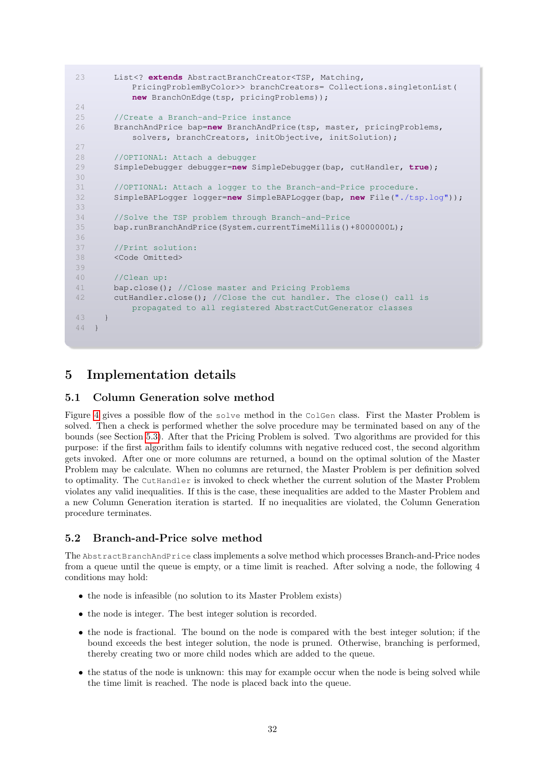```
23 List<? extends AbstractBranchCreator<TSP, Matching,
           PricingProblemByColor>> branchCreators= Collections.singletonList(
          new BranchOnEdge(tsp, pricingProblems));
24
25 //Create a Branch-and-Price instance
26 BranchAndPrice bap=new BranchAndPrice(tsp, master, pricingProblems,
           solvers, branchCreators, initObjective, initSolution);
27
28 //OPTIONAL: Attach a debugger
29 SimpleDebugger debugger=new SimpleDebugger(bap, cutHandler, true);
30
31 //OPTIONAL: Attach a logger to the Branch-and-Price procedure.
32 SimpleBAPLogger logger=new SimpleBAPLogger(bap, new File("./tsp.log"));
33
34 //Solve the TSP problem through Branch-and-Price
35 bap.runBranchAndPrice(System.currentTimeMillis()+8000000L);
36
37 //Print solution:
38 <Code Omitted>
39
40 //Clean up:
41 bap.close(); //Close master and Pricing Problems
42 cutHandler.close(); //Close the cut handler. The close() call is
          propagated to all registered AbstractCutGenerator classes
43 }
44 }
```
# 5 Implementation details

### 5.1 Column Generation solve method

Figure [4](#page-32-0) gives a possible flow of the solve method in the ColGen class. First the Master Problem is solved. Then a check is performed whether the solve procedure may be terminated based on any of the bounds (see Section [5.3\)](#page-32-1). After that the Pricing Problem is solved. Two algorithms are provided for this purpose: if the first algorithm fails to identify columns with negative reduced cost, the second algorithm gets invoked. After one or more columns are returned, a bound on the optimal solution of the Master Problem may be calculate. When no columns are returned, the Master Problem is per definition solved to optimality. The CutHandler is invoked to check whether the current solution of the Master Problem violates any valid inequalities. If this is the case, these inequalities are added to the Master Problem and a new Column Generation iteration is started. If no inequalities are violated, the Column Generation procedure terminates.

#### 5.2 Branch-and-Price solve method

The AbstractBranchAndPrice class implements a solve method which processes Branch-and-Price nodes from a queue until the queue is empty, or a time limit is reached. After solving a node, the following 4 conditions may hold:

- the node is infeasible (no solution to its Master Problem exists)
- the node is integer. The best integer solution is recorded.
- the node is fractional. The bound on the node is compared with the best integer solution; if the bound exceeds the best integer solution, the node is pruned. Otherwise, branching is performed, thereby creating two or more child nodes which are added to the queue.
- the status of the node is unknown: this may for example occur when the node is being solved while the time limit is reached. The node is placed back into the queue.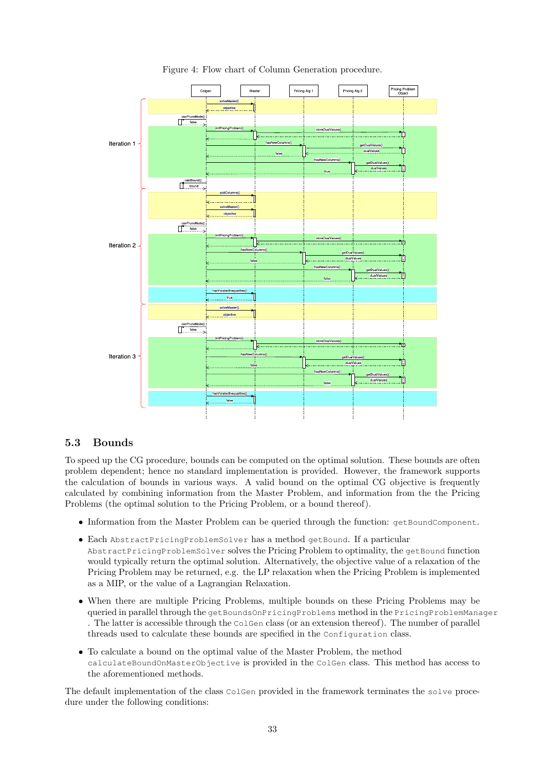<span id="page-32-0"></span>

Figure 4: Flow chart of Column Generation procedure.

### <span id="page-32-1"></span>5.3 Bounds

To speed up the CG procedure, bounds can be computed on the optimal solution. These bounds are often problem dependent; hence no standard implementation is provided. However, the framework supports the calculation of bounds in various ways. A valid bound on the optimal CG objective is frequently calculated by combining information from the Master Problem, and information from the the Pricing Problems (the optimal solution to the Pricing Problem, or a bound thereof).

- Information from the Master Problem can be queried through the function: getBoundComponent.
- Each AbstractPricingProblemSolver has a method getBound. If a particular AbstractPricingProblemSolver solves the Pricing Problem to optimality, the getBound function would typically return the optimal solution. Alternatively, the objective value of a relaxation of the Pricing Problem may be returned, e.g. the LP relaxation when the Pricing Problem is implemented as a MIP, or the value of a Lagrangian Relaxation.
- When there are multiple Pricing Problems, multiple bounds on these Pricing Problems may be queried in parallel through the getBoundsOnPricingProblems method in the PricingProblemManager . The latter is accessible through the ColGen class (or an extension thereof). The number of parallel threads used to calculate these bounds are specified in the Configuration class.
- To calculate a bound on the optimal value of the Master Problem, the method calculateBoundOnMasterObjective is provided in the ColGen class. This method has access to the aforementioned methods.

The default implementation of the class ColGen provided in the framework terminates the solve procedure under the following conditions: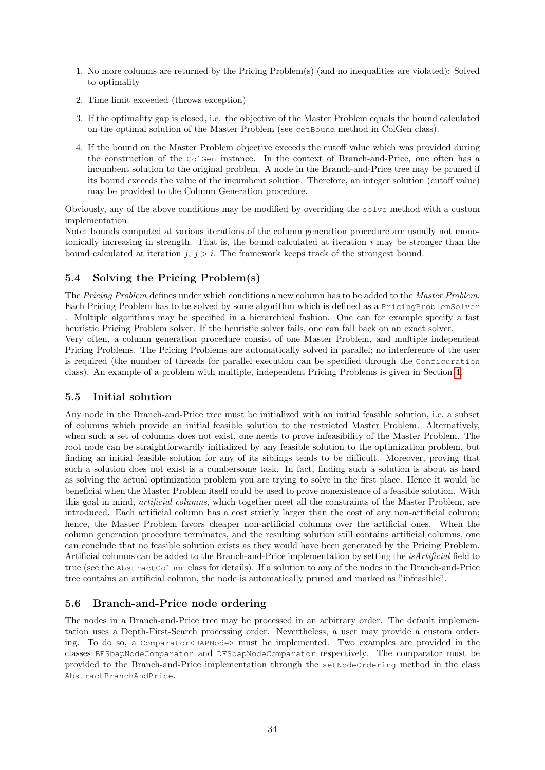- 1. No more columns are returned by the Pricing Problem(s) (and no inequalities are violated): Solved to optimality
- 2. Time limit exceeded (throws exception)
- 3. If the optimality gap is closed, i.e. the objective of the Master Problem equals the bound calculated on the optimal solution of the Master Problem (see getBound method in ColGen class).
- 4. If the bound on the Master Problem objective exceeds the cutoff value which was provided during the construction of the ColGen instance. In the context of Branch-and-Price, one often has a incumbent solution to the original problem. A node in the Branch-and-Price tree may be pruned if its bound exceeds the value of the incumbent solution. Therefore, an integer solution (cutoff value) may be provided to the Column Generation procedure.

Obviously, any of the above conditions may be modified by overriding the solve method with a custom implementation.

Note: bounds computed at various iterations of the column generation procedure are usually not monotonically increasing in strength. That is, the bound calculated at iteration  $i$  may be stronger than the bound calculated at iteration  $j, j > i$ . The framework keeps track of the strongest bound.

## 5.4 Solving the Pricing Problem(s)

The Pricing Problem defines under which conditions a new column has to be added to the Master Problem. Each Pricing Problem has to be solved by some algorithm which is defined as a PricingProblemSolver . Multiple algorithms may be specified in a hierarchical fashion. One can for example specify a fast heuristic Pricing Problem solver. If the heuristic solver fails, one can fall back on an exact solver.

Very often, a column generation procedure consist of one Master Problem, and multiple independent Pricing Problems. The Pricing Problems are automatically solved in parallel; no interference of the user is required (the number of threads for parallel execution can be specified through the Configuration class). An example of a problem with multiple, independent Pricing Problems is given in Section [4.](#page-17-0)

### <span id="page-33-0"></span>5.5 Initial solution

Any node in the Branch-and-Price tree must be initialized with an initial feasible solution, i.e. a subset of columns which provide an initial feasible solution to the restricted Master Problem. Alternatively, when such a set of columns does not exist, one needs to prove infeasibility of the Master Problem. The root node can be straightforwardly initialized by any feasible solution to the optimization problem, but finding an initial feasible solution for any of its siblings tends to be difficult. Moreover, proving that such a solution does not exist is a cumbersome task. In fact, finding such a solution is about as hard as solving the actual optimization problem you are trying to solve in the first place. Hence it would be beneficial when the Master Problem itself could be used to prove nonexistence of a feasible solution. With this goal in mind, artificial columns, which together meet all the constraints of the Master Problem, are introduced. Each artificial column has a cost strictly larger than the cost of any non-artificial column; hence, the Master Problem favors cheaper non-artificial columns over the artificial ones. When the column generation procedure terminates, and the resulting solution still contains artificial columns, one can conclude that no feasible solution exists as they would have been generated by the Pricing Problem. Artificial columns can be added to the Branch-and-Price implementation by setting the isArtificial field to true (see the AbstractColumn class for details). If a solution to any of the nodes in the Branch-and-Price tree contains an artificial column, the node is automatically pruned and marked as "infeasible".

### 5.6 Branch-and-Price node ordering

The nodes in a Branch-and-Price tree may be processed in an arbitrary order. The default implementation uses a Depth-First-Search processing order. Nevertheless, a user may provide a custom ordering. To do so, a Comparator<BAPNode> must be implemented. Two examples are provided in the classes BFSbapNodeComparator and DFSbapNodeComparator respectively. The comparator must be provided to the Branch-and-Price implementation through the setNodeOrdering method in the class AbstractBranchAndPrice.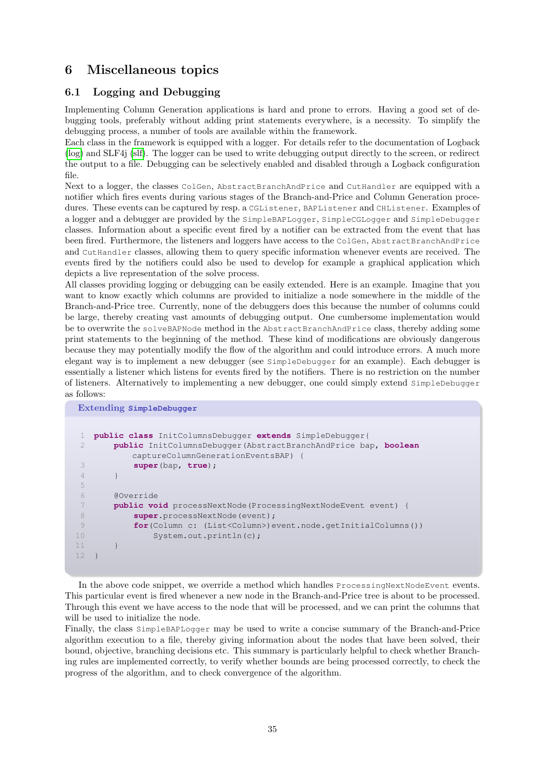# 6 Miscellaneous topics

### 6.1 Logging and Debugging

Implementing Column Generation applications is hard and prone to errors. Having a good set of debugging tools, preferably without adding print statements everywhere, is a necessity. To simplify the debugging process, a number of tools are available within the framework.

Each class in the framework is equipped with a logger. For details refer to the documentation of Logback [\(log\)](#page-35-1) and SLF4j [\(slf\)](#page-35-2). The logger can be used to write debugging output directly to the screen, or redirect the output to a file. Debugging can be selectively enabled and disabled through a Logback configuration file.

Next to a logger, the classes ColGen, AbstractBranchAndPrice and CutHandler are equipped with a notifier which fires events during various stages of the Branch-and-Price and Column Generation procedures. These events can be captured by resp. a CGListener, BAPListener and CHListener. Examples of a logger and a debugger are provided by the SimpleBAPLogger, SimpleCGLogger and SimpleDebugger classes. Information about a specific event fired by a notifier can be extracted from the event that has been fired. Furthermore, the listeners and loggers have access to the ColGen, AbstractBranchAndPrice and CutHandler classes, allowing them to query specific information whenever events are received. The events fired by the notifiers could also be used to develop for example a graphical application which depicts a live representation of the solve process.

All classes providing logging or debugging can be easily extended. Here is an example. Imagine that you want to know exactly which columns are provided to initialize a node somewhere in the middle of the Branch-and-Price tree. Currently, none of the debuggers does this because the number of columns could be large, thereby creating vast amounts of debugging output. One cumbersome implementation would be to overwrite the solveBAPNode method in the AbstractBranchAndPrice class, thereby adding some print statements to the beginning of the method. These kind of modifications are obviously dangerous because they may potentially modify the flow of the algorithm and could introduce errors. A much more elegant way is to implement a new debugger (see SimpleDebugger for an example). Each debugger is essentially a listener which listens for events fired by the notifiers. There is no restriction on the number of listeners. Alternatively to implementing a new debugger, one could simply extend SimpleDebugger as follows:

```
Extending SimpleDebugger
1 public class InitColumnsDebugger extends SimpleDebugger{
2 public InitColumnsDebugger(AbstractBranchAndPrice bap, boolean
          captureColumnGenerationEventsBAP) {
3 super(bap, true);
4 }
5
6 @Override
7 public void processNextNode(ProcessingNextNodeEvent event) {
8 super.processNextNode(event);
9 for(Column c: (List<Column>)event.node.getInitialColumns())
10 System.out.println(c);
11 }
12 }
```
In the above code snippet, we override a method which handles ProcessingNextNodeEvent events. This particular event is fired whenever a new node in the Branch-and-Price tree is about to be processed. Through this event we have access to the node that will be processed, and we can print the columns that will be used to initialize the node.

Finally, the class SimpleBAPLogger may be used to write a concise summary of the Branch-and-Price algorithm execution to a file, thereby giving information about the nodes that have been solved, their bound, objective, branching decisions etc. This summary is particularly helpful to check whether Branching rules are implemented correctly, to verify whether bounds are being processed correctly, to check the progress of the algorithm, and to check convergence of the algorithm.